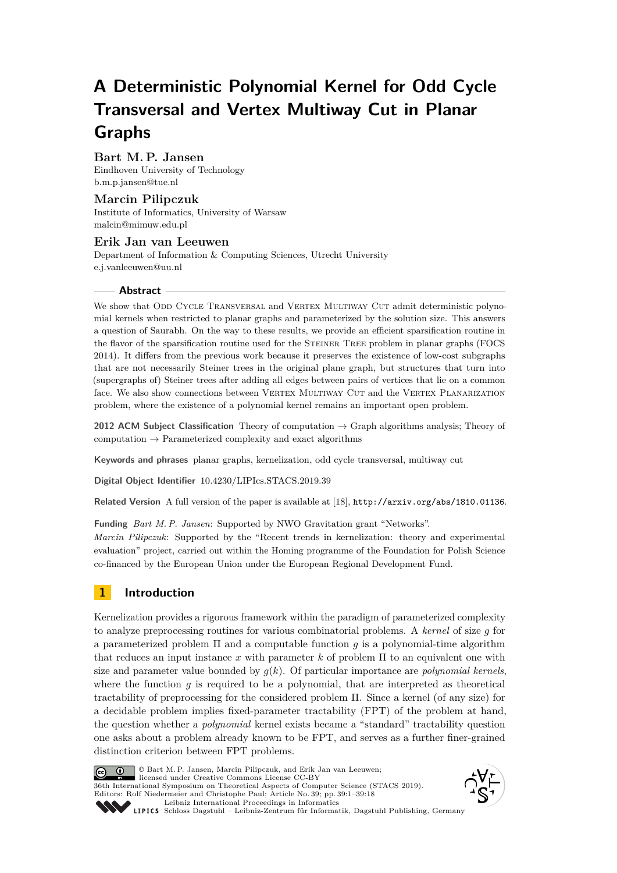# **A Deterministic Polynomial Kernel for Odd Cycle Transversal and Vertex Multiway Cut in Planar Graphs**

# **Bart M. P. Jansen**

Eindhoven University of Technology [b.m.p.jansen@tue.nl](mailto:b.m.p.jansen@tue.nl)

# **Marcin Pilipczuk**

Institute of Informatics, University of Warsaw [malcin@mimuw.edu.pl](mailto:malcin@mimuw.edu.pl)

## **Erik Jan van Leeuwen** Department of Information & Computing Sciences, Utrecht University [e.j.vanleeuwen@uu.nl](mailto:e.j.vanleeuwen@uu.nl)

## **Abstract**

We show that ODD CYCLE TRANSVERSAL and VERTEX MULTIWAY CUT admit deterministic polynomial kernels when restricted to planar graphs and parameterized by the solution size. This answers a question of Saurabh. On the way to these results, we provide an efficient sparsification routine in the flavor of the sparsification routine used for the STEINER TREE problem in planar graphs (FOCS) 2014). It differs from the previous work because it preserves the existence of low-cost subgraphs that are not necessarily Steiner trees in the original plane graph, but structures that turn into (supergraphs of) Steiner trees after adding all edges between pairs of vertices that lie on a common face. We also show connections between VERTEX MULTIWAY CUT and the VERTEX PLANARIZATION problem, where the existence of a polynomial kernel remains an important open problem.

**2012 ACM Subject Classification** Theory of computation → Graph algorithms analysis; Theory of computation  $\rightarrow$  Parameterized complexity and exact algorithms

**Keywords and phrases** planar graphs, kernelization, odd cycle transversal, multiway cut

**Digital Object Identifier** [10.4230/LIPIcs.STACS.2019.39](https://doi.org/10.4230/LIPIcs.STACS.2019.39)

Related Version A full version of the paper is available at [\[18\]](#page-16-0), <http://arxiv.org/abs/1810.01136>.

**Funding** *Bart M. P. Jansen*: Supported by NWO Gravitation grant "Networks".

*Marcin Pilipczuk*: Supported by the "Recent trends in kernelization: theory and experimental evaluation" project, carried out within the Homing programme of the Foundation for Polish Science co-financed by the European Union under the European Regional Development Fund.

# **1 Introduction**

Kernelization provides a rigorous framework within the paradigm of parameterized complexity to analyze preprocessing routines for various combinatorial problems. A *kernel* of size *g* for a parameterized problem Π and a computable function *g* is a polynomial-time algorithm that reduces an input instance *x* with parameter *k* of problem Π to an equivalent one with size and parameter value bounded by  $q(k)$ . Of particular importance are *polynomial kernels*, where the function  $g$  is required to be a polynomial, that are interpreted as theoretical tractability of preprocessing for the considered problem Π. Since a kernel (of any size) for a decidable problem implies fixed-parameter tractability (FPT) of the problem at hand, the question whether a *polynomial* kernel exists became a "standard" tractability question one asks about a problem already known to be FPT, and serves as a further finer-grained distinction criterion between FPT problems.



© Bart M. P. Jansen, Marcin Pilipczuk, and Erik Jan van Leeuwen; licensed under Creative Commons License CC-BY

36th International Symposium on Theoretical Aspects of Computer Science (STACS 2019). Editors: Rolf Niedermeier and Christophe Paul; Article No. 39; pp. 39:1–39[:18](#page-17-0)

[Leibniz International Proceedings in Informatics](https://www.dagstuhl.de/lipics/) Leibniz international Floretungs in missimosische Publishing, Germany<br>LIPICS [Schloss Dagstuhl – Leibniz-Zentrum für Informatik, Dagstuhl Publishing, Germany](https://www.dagstuhl.de)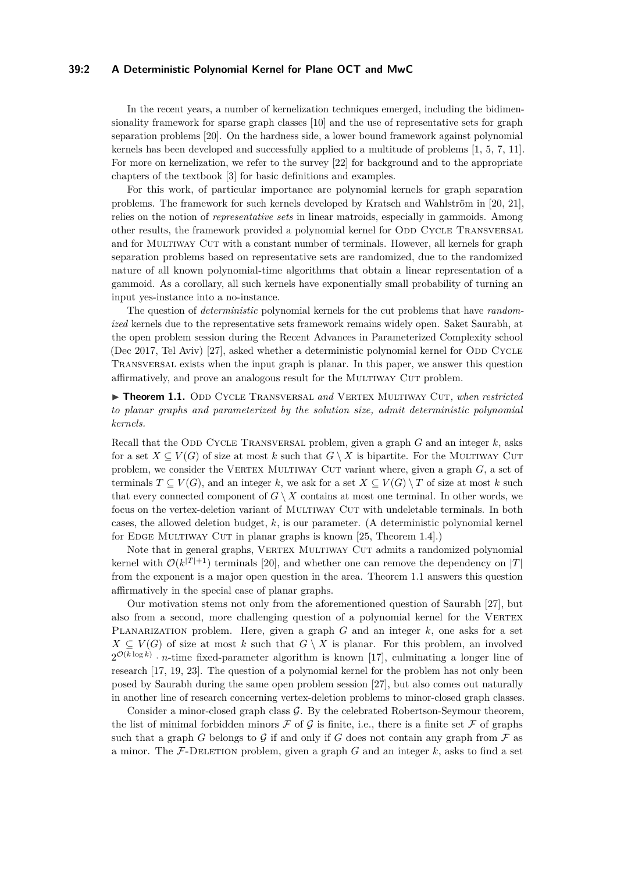## **39:2 A Deterministic Polynomial Kernel for Plane OCT and MwC**

In the recent years, a number of kernelization techniques emerged, including the bidimensionality framework for sparse graph classes [\[10\]](#page-16-1) and the use of representative sets for graph separation problems [\[20\]](#page-16-2). On the hardness side, a lower bound framework against polynomial kernels has been developed and successfully applied to a multitude of problems [\[1,](#page-15-0) [5,](#page-15-1) [7,](#page-15-2) [11\]](#page-16-3). For more on kernelization, we refer to the survey [\[22\]](#page-16-4) for background and to the appropriate chapters of the textbook [\[3\]](#page-15-3) for basic definitions and examples.

For this work, of particular importance are polynomial kernels for graph separation problems. The framework for such kernels developed by Kratsch and Wahlström in [\[20,](#page-16-2) [21\]](#page-16-5), relies on the notion of *representative sets* in linear matroids, especially in gammoids. Among other results, the framework provided a polynomial kernel for ODD CYCLE TRANSVERSAL and for MULTIWAY CUT with a constant number of terminals. However, all kernels for graph separation problems based on representative sets are randomized, due to the randomized nature of all known polynomial-time algorithms that obtain a linear representation of a gammoid. As a corollary, all such kernels have exponentially small probability of turning an input yes-instance into a no-instance.

The question of *deterministic* polynomial kernels for the cut problems that have *randomized* kernels due to the representative sets framework remains widely open. Saket Saurabh, at the open problem session during the Recent Advances in Parameterized Complexity school (Dec 2017, Tel Aviv) [\[27\]](#page-17-1), asked whether a deterministic polynomial kernel for ODD CYCLE Transversal exists when the input graph is planar. In this paper, we answer this question affirmatively, and prove an analogous result for the Multiway Cut problem.

<span id="page-1-0"></span>▶ Theorem 1.1. ODD CYCLE TRANSVERSAL and VERTEX MULTIWAY CUT, when restricted *to planar graphs and parameterized by the solution size, admit deterministic polynomial kernels.*

Recall that the ODD CYCLE TRANSVERSAL problem, given a graph  $G$  and an integer  $k$ , asks for a set  $X \subseteq V(G)$  of size at most k such that  $G \setminus X$  is bipartite. For the MULTIWAY CUT problem, we consider the VERTEX MULTIWAY CUT variant where, given a graph  $G$ , a set of terminals  $T \subset V(G)$ , and an integer k, we ask for a set  $X \subset V(G) \setminus T$  of size at most k such that every connected component of  $G \setminus X$  contains at most one terminal. In other words, we focus on the vertex-deletion variant of Multiway Cut with undeletable terminals. In both cases, the allowed deletion budget, *k*, is our parameter. (A deterministic polynomial kernel for EDGE MULTIWAY CUT in planar graphs is known  $[25,$  Theorem 1.4].)

Note that in general graphs, VERTEX MULTIWAY CUT admits a randomized polynomial kernel with  $\mathcal{O}(k^{|T|+1})$  terminals [\[20\]](#page-16-2), and whether one can remove the dependency on |*T*| from the exponent is a major open question in the area. Theorem [1.1](#page-1-0) answers this question affirmatively in the special case of planar graphs.

Our motivation stems not only from the aforementioned question of Saurabh [\[27\]](#page-17-1), but also from a second, more challenging question of a polynomial kernel for the VERTEX Planarization problem. Here, given a graph *G* and an integer *k*, one asks for a set  $X \subseteq V(G)$  of size at most *k* such that  $G \setminus X$  is planar. For this problem, an involved  $2^{\mathcal{O}(k \log k)} \cdot n$ -time fixed-parameter algorithm is known [\[17\]](#page-16-6), culminating a longer line of research [\[17,](#page-16-6) [19,](#page-16-7) [23\]](#page-16-8). The question of a polynomial kernel for the problem has not only been posed by Saurabh during the same open problem session [\[27\]](#page-17-1), but also comes out naturally in another line of research concerning vertex-deletion problems to minor-closed graph classes.

Consider a minor-closed graph class G. By the celebrated Robertson-Seymour theorem, the list of minimal forbidden minors  $\mathcal F$  of  $\mathcal G$  is finite, i.e., there is a finite set  $\mathcal F$  of graphs such that a graph *G* belongs to  $\mathcal G$  if and only if *G* does not contain any graph from  $\mathcal F$  as a minor. The  $\mathcal{F}\text{-}\text{DELETION problem}$ , given a graph *G* and an integer *k*, asks to find a set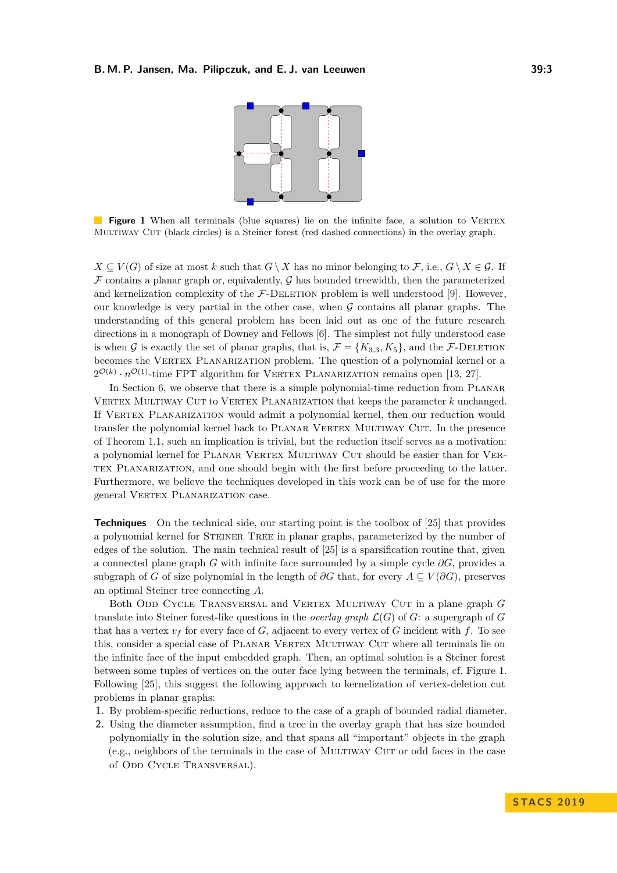

<span id="page-2-0"></span>**Figure 1** When all terminals (blue squares) lie on the infinite face, a solution to VERTEX Multiway Cut (black circles) is a Steiner forest (red dashed connections) in the overlay graph.

 $X \subseteq V(G)$  of size at most *k* such that  $G \setminus X$  has no minor belonging to  $\mathcal{F}$ , i.e.,  $G \setminus X \in \mathcal{G}$ . If  $\mathcal F$  contains a planar graph or, equivalently,  $\mathcal G$  has bounded treewidth, then the parameterized and kernelization complexity of the  $F$ -DELETION problem is well understood [\[9\]](#page-16-9). However, our knowledge is very partial in the other case, when  $G$  contains all planar graphs. The understanding of this general problem has been laid out as one of the future research directions in a monograph of Downey and Fellows [\[6\]](#page-15-4). The simplest not fully understood case is when G is exactly the set of planar graphs, that is,  $\mathcal{F} = \{K_{3,3}, K_5\}$ , and the F-DELETION becomes the VERTEX PLANARIZATION problem. The question of a polynomial kernel or a  $2^{\mathcal{O}(k)} \cdot n^{\mathcal{O}(1)}$ -time FPT algorithm for VERTEX PLANARIZATION remains open [\[13,](#page-16-10) [27\]](#page-17-1).

In Section [6,](#page-12-0) we observe that there is a simple polynomial-time reduction from PLANAR VERTEX MULTIWAY CUT to VERTEX PLANARIZATION that keeps the parameter *k* unchanged. If VERTEX PLANARIZATION would admit a polynomial kernel, then our reduction would transfer the polynomial kernel back to PLANAR VERTEX MULTIWAY CUT. In the presence of Theorem [1.1,](#page-1-0) such an implication is trivial, but the reduction itself serves as a motivation: a polynomial kernel for PLANAR VERTEX MULTIWAY CUT should be easier than for VERtex Planarization, and one should begin with the first before proceeding to the latter. Furthermore, we believe the techniques developed in this work can be of use for the more general VERTEX PLANARIZATION case.

**Techniques** On the technical side, our starting point is the toolbox of [\[25\]](#page-17-2) that provides a polynomial kernel for STEINER TREE in planar graphs, parameterized by the number of edges of the solution. The main technical result of [\[25\]](#page-17-2) is a sparsification routine that, given a connected plane graph *G* with infinite face surrounded by a simple cycle *∂G*, provides a subgraph of *G* of size polynomial in the length of  $\partial G$  that, for every  $A \subseteq V(\partial G)$ , preserves an optimal Steiner tree connecting *A*.

Both Odd Cycle Transversal and Vertex Multiway Cut in a plane graph *G* translate into Steiner forest-like questions in the *overlay graph*  $\mathcal{L}(G)$  of *G*: a supergraph of *G* that has a vertex  $v_f$  for every face of *G*, adjacent to every vertex of *G* incident with *f*. To see this, consider a special case of PLANAR VERTEX MULTIWAY CUT where all terminals lie on the infinite face of the input embedded graph. Then, an optimal solution is a Steiner forest between some tuples of vertices on the outer face lying between the terminals, cf. Figure [1.](#page-2-0) Following [\[25\]](#page-17-2), this suggest the following approach to kernelization of vertex-deletion cut problems in planar graphs:

- **1.** By problem-specific reductions, reduce to the case of a graph of bounded radial diameter.
- **2.** Using the diameter assumption, find a tree in the overlay graph that has size bounded polynomially in the solution size, and that spans all "important" objects in the graph (e.g., neighbors of the terminals in the case of Multiway Cut or odd faces in the case of ODD CYCLE TRANSVERSAL).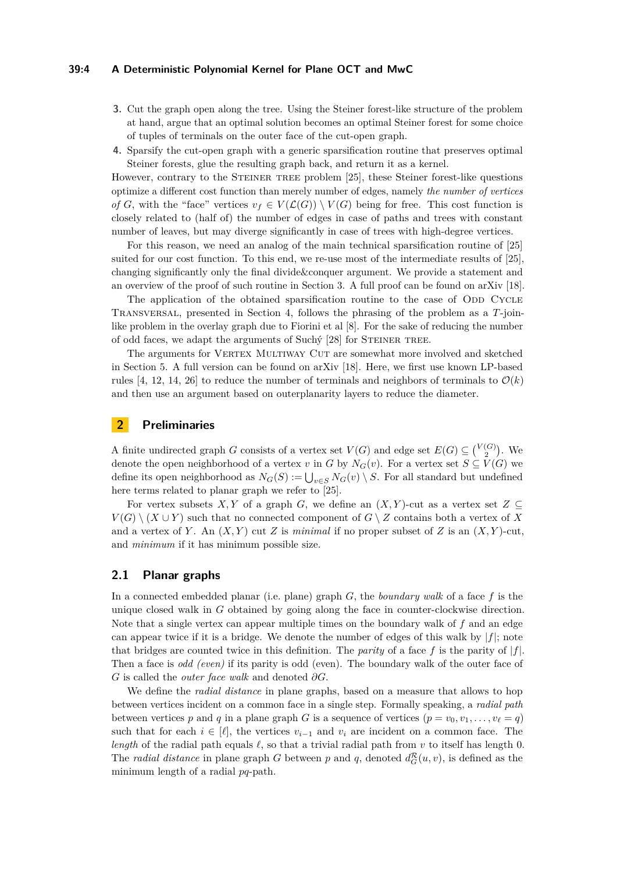#### **39:4 A Deterministic Polynomial Kernel for Plane OCT and MwC**

- **3.** Cut the graph open along the tree. Using the Steiner forest-like structure of the problem at hand, argue that an optimal solution becomes an optimal Steiner forest for some choice of tuples of terminals on the outer face of the cut-open graph.
- **4.** Sparsify the cut-open graph with a generic sparsification routine that preserves optimal Steiner forests, glue the resulting graph back, and return it as a kernel.

However, contrary to the STEINER TREE problem [\[25\]](#page-17-2), these Steiner forest-like questions optimize a different cost function than merely number of edges, namely *the number of vertices of G*, with the "face" vertices  $v_f \in V(\mathcal{L}(G)) \setminus V(G)$  being for free. This cost function is closely related to (half of) the number of edges in case of paths and trees with constant number of leaves, but may diverge significantly in case of trees with high-degree vertices.

For this reason, we need an analog of the main technical sparsification routine of [\[25\]](#page-17-2) suited for our cost function. To this end, we re-use most of the intermediate results of [\[25\]](#page-17-2), changing significantly only the final divide&conquer argument. We provide a statement and an overview of the proof of such routine in Section [3.](#page-4-0) A full proof can be found on arXiv [\[18\]](#page-16-0).

The application of the obtained sparsification routine to the case of ODD CYCLE Transversal, presented in Section [4,](#page-6-0) follows the phrasing of the problem as a *T*-joinlike problem in the overlay graph due to Fiorini et al [\[8\]](#page-16-11). For the sake of reducing the number of odd faces, we adapt the arguments of Suchy [\[28\]](#page-17-3) for STEINER TREE.

The arguments for VERTEX MULTIWAY CUT are somewhat more involved and sketched in Section [5.](#page-11-0) A full version can be found on arXiv [\[18\]](#page-16-0). Here, we first use known LP-based rules [\[4,](#page-15-5) [12,](#page-16-12) [14,](#page-16-13) [26\]](#page-17-4) to reduce the number of terminals and neighbors of terminals to  $\mathcal{O}(k)$ and then use an argument based on outerplanarity layers to reduce the diameter.

# **2 Preliminaries**

A finite undirected graph *G* consists of a vertex set  $V(G)$  and edge set  $E(G) \subseteq {V(G) \choose 2}$ . We denote the open neighborhood of a vertex *v* in *G* by  $N_G(v)$ . For a vertex set  $S \subseteq V(G)$  we define its open neighborhood as  $N_G(S) := \bigcup_{v \in S} N_G(v) \setminus S$ . For all standard but undefined here terms related to planar graph we refer to [\[25\]](#page-17-2).

For vertex subsets *X,Y* of a graph *G*, we define an  $(X, Y)$ -cut as a vertex set  $Z \subseteq$ *V*(*G*) \ (*X* ∪ *Y*) such that no connected component of *G* \ *Z* contains both a vertex of *X* and a vertex of *Y*. An  $(X, Y)$  cut *Z* is *minimal* if no proper subset of *Z* is an  $(X, Y)$ -cut, and *minimum* if it has minimum possible size.

## **2.1 Planar graphs**

In a connected embedded planar (i.e. plane) graph *G*, the *boundary walk* of a face *f* is the unique closed walk in *G* obtained by going along the face in counter-clockwise direction. Note that a single vertex can appear multiple times on the boundary walk of *f* and an edge can appear twice if it is a bridge. We denote the number of edges of this walk by  $|f|$ ; note that bridges are counted twice in this definition. The *parity* of a face f is the parity of  $|f|$ . Then a face is *odd (even)* if its parity is odd (even). The boundary walk of the outer face of *G* is called the *outer face walk* and denoted *∂G*.

We define the *radial distance* in plane graphs, based on a measure that allows to hop between vertices incident on a common face in a single step. Formally speaking, a *radial path* between vertices p and q in a plane graph G is a sequence of vertices  $(p = v_0, v_1, \ldots, v_\ell = q)$ such that for each  $i \in [\ell]$ , the vertices  $v_{i-1}$  and  $v_i$  are incident on a common face. The *length* of the radial path equals  $\ell$ , so that a trivial radial path from *v* to itself has length 0. The *radial distance* in plane graph *G* between *p* and *q*, denoted  $d_G^{\mathcal{R}}(u, v)$ , is defined as the minimum length of a radial *pq*-path.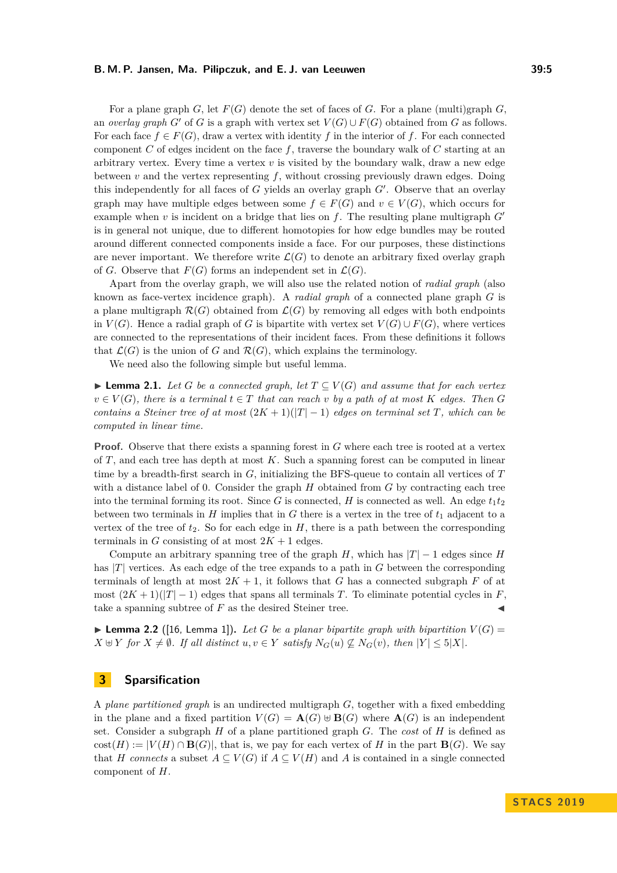#### **B. M. P. Jansen, Ma. Pilipczuk, and E. J. van Leeuwen 39:5**

For a plane graph  $G$ , let  $F(G)$  denote the set of faces of  $G$ . For a plane (multi)graph  $G$ , an *overlay graph*  $G'$  of  $G$  is a graph with vertex set  $V(G) \cup F(G)$  obtained from  $G$  as follows. For each face  $f \in F(G)$ , draw a vertex with identity f in the interior of f. For each connected component *C* of edges incident on the face *f*, traverse the boundary walk of *C* starting at an arbitrary vertex. Every time a vertex *v* is visited by the boundary walk, draw a new edge between  $v$  and the vertex representing  $f$ , without crossing previously drawn edges. Doing this independently for all faces of  $G$  yields an overlay graph  $G'$ . Observe that an overlay graph may have multiple edges between some  $f \in F(G)$  and  $v \in V(G)$ , which occurs for example when  $v$  is incident on a bridge that lies on  $f$ . The resulting plane multigraph  $G'$ is in general not unique, due to different homotopies for how edge bundles may be routed around different connected components inside a face. For our purposes, these distinctions are never important. We therefore write  $\mathcal{L}(G)$  to denote an arbitrary fixed overlay graph of *G*. Observe that  $F(G)$  forms an independent set in  $\mathcal{L}(G)$ .

Apart from the overlay graph, we will also use the related notion of *radial graph* (also known as face-vertex incidence graph). A *radial graph* of a connected plane graph *G* is a plane multigraph  $\mathcal{R}(G)$  obtained from  $\mathcal{L}(G)$  by removing all edges with both endpoints in  $V(G)$ . Hence a radial graph of *G* is bipartite with vertex set  $V(G) \cup F(G)$ , where vertices are connected to the representations of their incident faces. From these definitions it follows that  $\mathcal{L}(G)$  is the union of *G* and  $\mathcal{R}(G)$ , which explains the terminology.

We need also the following simple but useful lemma.

<span id="page-4-1"></span>**► Lemma 2.1.** Let *G* be a connected graph, let  $T \subseteq V(G)$  and assume that for each vertex  $v \in V(G)$ , there is a terminal  $t \in T$  that can reach  $v$  by a path of at most  $K$  edges. Then  $G$ *contains a Steiner tree of at most*  $(2K+1)(|T|-1)$  *edges on terminal set T, which can be computed in linear time.*

**Proof.** Observe that there exists a spanning forest in *G* where each tree is rooted at a vertex of *T*, and each tree has depth at most *K*. Such a spanning forest can be computed in linear time by a breadth-first search in *G*, initializing the BFS-queue to contain all vertices of *T* with a distance label of 0. Consider the graph *H* obtained from *G* by contracting each tree into the terminal forming its root. Since *G* is connected, *H* is connected as well. An edge  $t_1t_2$ between two terminals in  $H$  implies that in  $G$  there is a vertex in the tree of  $t_1$  adjacent to a vertex of the tree of  $t_2$ . So for each edge in  $H$ , there is a path between the corresponding terminals in *G* consisting of at most  $2K + 1$  edges.

Compute an arbitrary spanning tree of the graph *H*, which has  $|T| - 1$  edges since *H* has |*T*| vertices. As each edge of the tree expands to a path in *G* between the corresponding terminals of length at most  $2K + 1$ , it follows that *G* has a connected subgraph *F* of at most  $(2K+1)(|T|-1)$  edges that spans all terminals *T*. To eliminate potential cycles in *F*, take a spanning subtree of  $F$  as the desired Steiner tree.

**Lemma 2.2** ([\[16,](#page-16-14) Lemma 1]). Let G be a planar bipartite graph with bipartition  $V(G)$  =  $X \oplus Y$  *for*  $X \neq \emptyset$ *. If all distinct*  $u, v \in Y$  *satisfy*  $N_G(u) \nsubseteq N_G(v)$ *, then*  $|Y| \leq 5|X|$ *.* 

## <span id="page-4-0"></span>**3 Sparsification**

A *plane partitioned graph* is an undirected multigraph *G*, together with a fixed embedding in the plane and a fixed partition  $V(G) = \mathbf{A}(G) \oplus \mathbf{B}(G)$  where  $\mathbf{A}(G)$  is an independent set. Consider a subgraph *H* of a plane partitioned graph *G*. The *cost* of *H* is defined as  $cost(H) := |V(H) \cap B(G)|$ , that is, we pay for each vertex of *H* in the part **B**(*G*). We say that *H* connects a subset  $A \subseteq V(G)$  if  $A \subseteq V(H)$  and *A* is contained in a single connected component of *H*.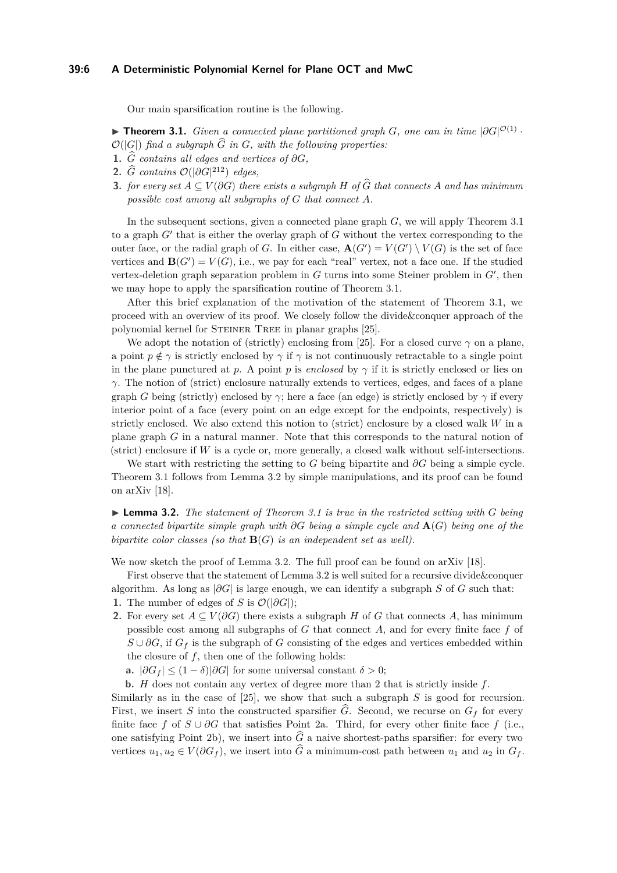### **39:6 A Deterministic Polynomial Kernel for Plane OCT and MwC**

Our main sparsification routine is the following.

<span id="page-5-0"></span>**► Theorem 3.1.** *Given a connected plane partitioned graph G, one can in time*  $|\partial G|^{O(1)}$ .  $\mathcal{O}(|G|)$  *find a subgraph*  $\widehat{G}$  *in*  $G$ *, with the following properties:* 

- 1.  $\hat{G}$  *contains all edges and vertices of*  $\partial G$ *,*
- **2.**  $\widehat{G}$  *contains*  $\mathcal{O}(|\partial G|^{212})$  *edges,*
- **3.** *for every set*  $A \subseteq V(\partial G)$  *there exists a subgraph*  $H$  *of*  $\widehat{G}$  *that connects*  $A$  *and has minimum possible cost among all subgraphs of G that connect A.*

In the subsequent sections, given a connected plane graph *G*, we will apply Theorem [3.1](#page-5-0) to a graph  $G'$  that is either the overlay graph of  $G$  without the vertex corresponding to the outer face, or the radial graph of *G*. In either case,  $\mathbf{A}(G') = V(G') \setminus V(G)$  is the set of face vertices and  $\mathbf{B}(G') = V(G)$ , i.e., we pay for each "real" vertex, not a face one. If the studied vertex-deletion graph separation problem in  $G$  turns into some Steiner problem in  $G'$ , then we may hope to apply the sparsification routine of Theorem [3.1.](#page-5-0)

After this brief explanation of the motivation of the statement of Theorem [3.1,](#page-5-0) we proceed with an overview of its proof. We closely follow the divide&conquer approach of the polynomial kernel for STEINER TREE in planar graphs [\[25\]](#page-17-2).

We adopt the notation of (strictly) enclosing from [\[25\]](#page-17-2). For a closed curve  $\gamma$  on a plane, a point  $p \notin \gamma$  is strictly enclosed by  $\gamma$  if  $\gamma$  is not continuously retractable to a single point in the plane punctured at *p*. A point *p* is *enclosed* by  $\gamma$  if it is strictly enclosed or lies on *γ*. The notion of (strict) enclosure naturally extends to vertices, edges, and faces of a plane graph *G* being (strictly) enclosed by  $\gamma$ ; here a face (an edge) is strictly enclosed by  $\gamma$  if every interior point of a face (every point on an edge except for the endpoints, respectively) is strictly enclosed. We also extend this notion to (strict) enclosure by a closed walk *W* in a plane graph *G* in a natural manner. Note that this corresponds to the natural notion of (strict) enclosure if *W* is a cycle or, more generally, a closed walk without self-intersections.

We start with restricting the setting to *G* being bipartite and *∂G* being a simple cycle. Theorem [3.1](#page-5-0) follows from Lemma [3.2](#page-5-1) by simple manipulations, and its proof can be found on arXiv [\[18\]](#page-16-0).

<span id="page-5-1"></span> $\blacktriangleright$  **Lemma 3.2.** *The statement of Theorem [3.1](#page-5-0) is true in the restricted setting with G being a connected bipartite simple graph with ∂G being a simple cycle and* **A**(*G*) *being one of the bipartite color classes (so that* **B**(*G*) *is an independent set as well).*

We now sketch the proof of Lemma [3.2.](#page-5-1) The full proof can be found on arXiv [\[18\]](#page-16-0).

First observe that the statement of Lemma [3.2](#page-5-1) is well suited for a recursive divide&conquer algorithm. As long as  $|\partial G|$  is large enough, we can identify a subgraph *S* of *G* such that:

- <span id="page-5-4"></span>**1.** The number of edges of *S* is  $\mathcal{O}(|\partial G|)$ ;
- **2.** For every set  $A \subseteq V(\partial G)$  there exists a subgraph *H* of *G* that connects *A*, has minimum possible cost among all subgraphs of *G* that connect *A*, and for every finite face *f* of  $S \cup \partial G$ , if  $G_f$  is the subgraph of *G* consisting of the edges and vertices embedded within the closure of *f*, then one of the following holds:
	- **a.**  $|\partial G_f|$  ≤ (1 − *δ*)| $\partial G$ | for some universal constant *δ* > 0;

<span id="page-5-3"></span><span id="page-5-2"></span>**b.** *H* does not contain any vertex of degree more than 2 that is strictly inside *f*.

Similarly as in the case of [\[25\]](#page-17-2), we show that such a subgraph *S* is good for recursion. First, we insert *S* into the constructed sparsifier  $\widehat{G}$ . Second, we recurse on  $G_f$  for every finite face f of  $S \cup \partial G$  that satisfies Point [2a.](#page-5-2) Third, for every other finite face f (i.e., one satisfying Point [2b\)](#page-5-3), we insert into  $\hat{G}$  a naive shortest-paths sparsifier: for every two vertices  $u_1, u_2 \in V(\partial G_f)$ , we insert into  $\hat{G}$  a minimum-cost path between  $u_1$  and  $u_2$  in  $G_f$ .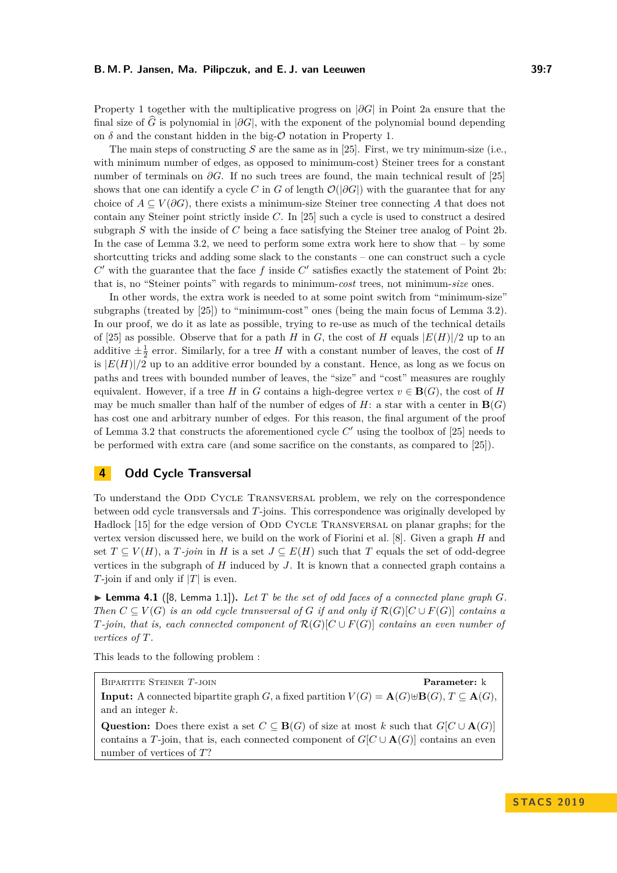Property [1](#page-5-4) together with the multiplicative progress on  $|\partial G|$  in Point [2a](#page-5-2) ensure that the final size of  $\widehat{G}$  is polynomial in  $|\partial G|$ , with the exponent of the polynomial bound depending on  $\delta$  and the constant hidden in the big- $\mathcal O$  notation in Property [1.](#page-5-4)

The main steps of constructing *S* are the same as in [\[25\]](#page-17-2). First, we try minimum-size (i.e., with minimum number of edges, as opposed to minimum-cost) Steiner trees for a constant number of terminals on *∂G*. If no such trees are found, the main technical result of [\[25\]](#page-17-2) shows that one can identify a cycle *C* in *G* of length  $\mathcal{O}(|\partial G|)$  with the guarantee that for any choice of  $A \subseteq V(\partial G)$ , there exists a minimum-size Steiner tree connecting A that does not contain any Steiner point strictly inside *C*. In [\[25\]](#page-17-2) such a cycle is used to construct a desired subgraph *S* with the inside of *C* being a face satisfying the Steiner tree analog of Point [2b.](#page-5-3) In the case of Lemma [3.2,](#page-5-1) we need to perform some extra work here to show that – by some shortcutting tricks and adding some slack to the constants – one can construct such a cycle  $C'$  with the guarantee that the face  $f$  inside  $C'$  satisfies exactly the statement of Point [2b:](#page-5-3) that is, no "Steiner points" with regards to minimum-*cost* trees, not minimum-*size* ones.

In other words, the extra work is needed to at some point switch from "minimum-size" subgraphs (treated by [\[25\]](#page-17-2)) to "minimum-cost" ones (being the main focus of Lemma [3.2\)](#page-5-1). In our proof, we do it as late as possible, trying to re-use as much of the technical details of [\[25\]](#page-17-2) as possible. Observe that for a path *H* in *G*, the cost of *H* equals  $|E(H)|/2$  up to an additive  $\pm \frac{1}{2}$  error. Similarly, for a tree *H* with a constant number of leaves, the cost of *H* is  $|E(H)|/2$  up to an additive error bounded by a constant. Hence, as long as we focus on paths and trees with bounded number of leaves, the "size" and "cost" measures are roughly equivalent. However, if a tree *H* in *G* contains a high-degree vertex  $v \in \mathbf{B}(G)$ , the cost of *H* may be much smaller than half of the number of edges of  $H$ : a star with a center in  $\mathbf{B}(G)$ has cost one and arbitrary number of edges. For this reason, the final argument of the proof of Lemma [3.2](#page-5-1) that constructs the aforementioned cycle  $C'$  using the toolbox of [\[25\]](#page-17-2) needs to be performed with extra care (and some sacrifice on the constants, as compared to [\[25\]](#page-17-2)).

# <span id="page-6-0"></span>**4 Odd Cycle Transversal**

To understand the ODD CYCLE TRANSVERSAL problem, we rely on the correspondence between odd cycle transversals and *T*-joins. This correspondence was originally developed by Hadlock [\[15\]](#page-16-15) for the edge version of ODD CYCLE TRANSVERSAL on planar graphs; for the vertex version discussed here, we build on the work of Fiorini et al. [\[8\]](#page-16-11). Given a graph *H* and set  $T \subseteq V(H)$ , a  $T$ -join in  $H$  is a set  $J \subseteq E(H)$  such that  $T$  equals the set of odd-degree vertices in the subgraph of *H* induced by *J*. It is known that a connected graph contains a *T*-join if and only if |*T*| is even.

<span id="page-6-1"></span> $\blacktriangleright$  **Lemma 4.1** ([\[8,](#page-16-11) Lemma 1.1]). Let T be the set of odd faces of a connected plane graph G. *Then*  $C \subseteq V(G)$  *is an odd cycle transversal of G if and only if*  $\mathcal{R}(G)[C \cup F(G)]$  *contains a T-join, that is, each connected component of*  $\mathcal{R}(G)[C \cup F(G)]$  *contains an even number of vertices of T.*

This leads to the following problem :

Bipartite Steiner *T*-join **Parameter:** k **Input:** A connected bipartite graph *G*, a fixed partition  $V(G) = \mathbf{A}(G) \oplus \mathbf{B}(G), T \subseteq \mathbf{A}(G)$ , and an integer *k*.

Question: Does there exist a set  $C \subseteq \mathbf{B}(G)$  of size at most *k* such that  $G[C \cup \mathbf{A}(G)]$ contains a *T*-join, that is, each connected component of  $G[C \cup \mathbf{A}(G)]$  contains an even number of vertices of *T*?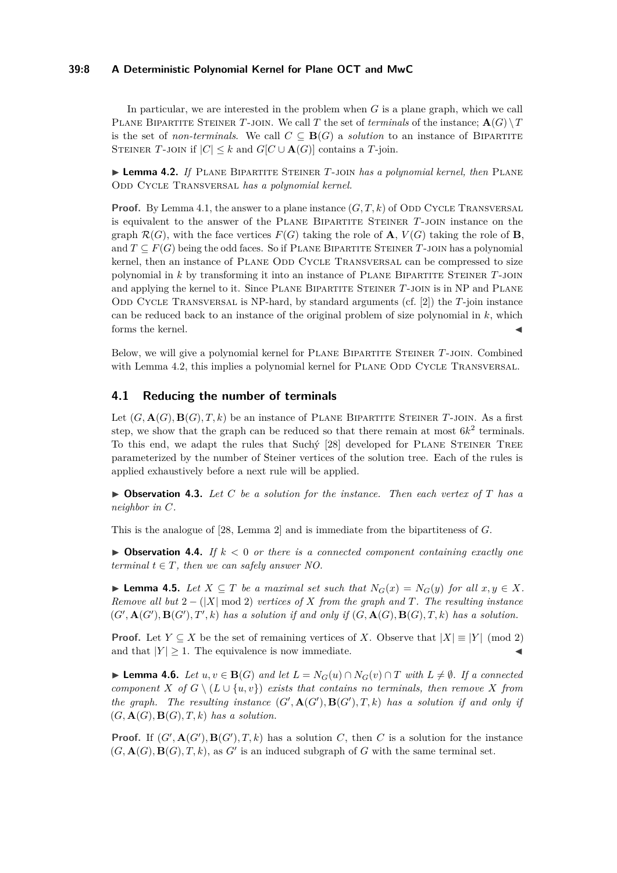### **39:8 A Deterministic Polynomial Kernel for Plane OCT and MwC**

In particular, we are interested in the problem when *G* is a plane graph, which we call PLANE BIPARTITE STEINER T-JOIN. We call T the set of *terminals* of the instance;  $\mathbf{A}(G) \setminus T$ is the set of *non-terminals*. We call  $C \subseteq \mathbf{B}(G)$  a *solution* to an instance of BIPARTITE STEINER *T*-JOIN if  $|C| \leq k$  and  $G[C \cup \mathbf{A}(G)]$  contains a *T*-join.

<span id="page-7-0"></span>**Lemma 4.2.** *If* PLANE BIPARTITE STEINER *T*-JOIN *has a polynomial kernel, then* PLANE ODD CYCLE TRANSVERSAL *has a polynomial kernel*.

**Proof.** By Lemma [4.1,](#page-6-1) the answer to a plane instance  $(G, T, k)$  of ODD CYCLE TRANSVERSAL is equivalent to the answer of the Plane Bipartite Steiner *T*-join instance on the graph  $\mathcal{R}(G)$ , with the face vertices  $F(G)$  taking the role of **A**,  $V(G)$  taking the role of **B**, and  $T \subseteq F(G)$  being the odd faces. So if PLANE BIPARTITE STEINER T-JOIN has a polynomial kernel, then an instance of PLANE ODD CYCLE TRANSVERSAL can be compressed to size polynomial in *k* by transforming it into an instance of Plane Bipartite Steiner *T*-join and applying the kernel to it. Since Plane Bipartite Steiner *T*-join is in NP and Plane Odd Cycle Transversal is NP-hard, by standard arguments (cf. [\[2\]](#page-15-6)) the *T*-join instance can be reduced back to an instance of the original problem of size polynomial in *k*, which forms the kernel.

Below, we will give a polynomial kernel for Plane Bipartite Steiner *T*-join. Combined with Lemma [4.2,](#page-7-0) this implies a polynomial kernel for PLANE ODD CYCLE TRANSVERSAL.

## <span id="page-7-4"></span>**4.1 Reducing the number of terminals**

Let  $(G, \mathbf{A}(G), \mathbf{B}(G), T, k)$  be an instance of PLANE BIPARTITE STEINER T-JOIN. As a first step, we show that the graph can be reduced so that there remain at most  $6k^2$  terminals. To this end, we adapt the rules that Suchý [\[28\]](#page-17-3) developed for Plane Steiner Tree parameterized by the number of Steiner vertices of the solution tree. Each of the rules is applied exhaustively before a next rule will be applied.

<span id="page-7-3"></span> $\triangleright$  **Observation 4.3.** Let C be a solution for the instance. Then each vertex of T has a *neighbor in C.*

This is the analogue of [\[28,](#page-17-3) Lemma 2] and is immediate from the bipartiteness of *G*.

 $\triangleright$  **Observation 4.4.** If  $k < 0$  or there is a connected component containing exactly one *terminal*  $t \in T$ *, then we can safely answer NO.* 

<span id="page-7-2"></span>▶ **Lemma 4.5.** *Let*  $X \subseteq T$  *be a maximal set such that*  $N_G(x) = N_G(y)$  *for all*  $x, y \in X$ *. Remove all but* 2 − (|*X*| mod 2) *vertices of X from the graph and T. The resulting instance*  $(G', \mathbf{A}(G'), \mathbf{B}(G'), T', k)$  has a solution if and only if  $(G, \mathbf{A}(G), \mathbf{B}(G), T, k)$  has a solution.

**Proof.** Let  $Y \subseteq X$  be the set of remaining vertices of *X*. Observe that  $|X| \equiv |Y| \pmod{2}$ and that  $|Y| \ge 1$ . The equivalence is now immediate.

<span id="page-7-1"></span>▶ **Lemma 4.6.** *Let*  $u, v \in \mathbf{B}(G)$  *and let*  $L = N_G(u) \cap N_G(v) \cap T$  *with*  $L \neq \emptyset$ *. If a connected component*  $X$  *of*  $G \setminus (L \cup \{u, v\})$  *exists that contains no terminals, then remove*  $X$  *from the graph.* The resulting instance  $(G', \mathbf{A}(G'), \mathbf{B}(G'), T, k)$  has a solution if and only if  $(G, \mathbf{A}(G), \mathbf{B}(G), T, k)$  has a solution.

**Proof.** If  $(G', \mathbf{A}(G'), \mathbf{B}(G'), T, k)$  has a solution *C*, then *C* is a solution for the instance  $(G, \mathbf{A}(G), \mathbf{B}(G), T, k)$ , as  $G'$  is an induced subgraph of  $G$  with the same terminal set.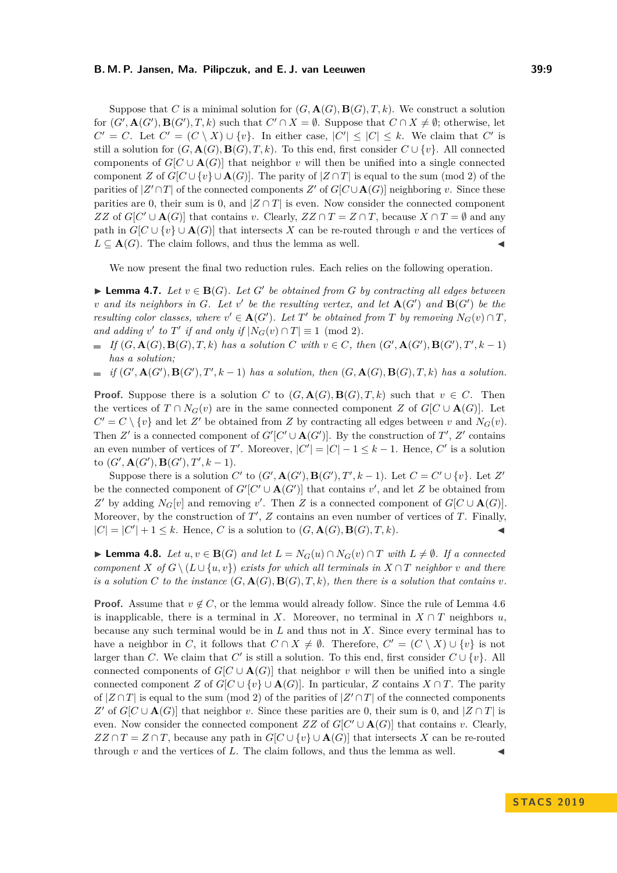#### **B. M. P. Jansen, Ma. Pilipczuk, and E. J. van Leeuwen 39:9**

Suppose that *C* is a minimal solution for  $(G, \mathbf{A}(G), \mathbf{B}(G), T, k)$ . We construct a solution for  $(G', \mathbf{A}(G'), \mathbf{B}(G'), T, k)$  such that  $C' \cap X = \emptyset$ . Suppose that  $C \cap X \neq \emptyset$ ; otherwise, let  $C' = C$ . Let  $C' = (C \setminus X) \cup \{v\}$ . In either case,  $|C'| \leq |C| \leq k$ . We claim that  $C'$  is still a solution for  $(G, \mathbf{A}(G), \mathbf{B}(G), T, k)$ . To this end, first consider  $C \cup \{v\}$ . All connected components of  $G[C \cup \mathbf{A}(G)]$  that neighbor *v* will then be unified into a single connected component *Z* of  $G[C \cup \{v\} \cup \mathbf{A}(G)]$ . The parity of  $|Z \cap T|$  is equal to the sum (mod 2) of the parities of  $|Z' \cap T|$  of the connected components  $Z'$  of  $G[C \cup \mathbf{A}(G)]$  neighboring *v*. Since these parities are 0, their sum is 0, and  $|Z \cap T|$  is even. Now consider the connected component *ZZ* of  $G[C' \cup \mathbf{A}(G)]$  that contains *v*. Clearly,  $ZZ \cap T = Z \cap T$ , because  $X \cap T = \emptyset$  and any path in  $G[C \cup \{v\} \cup \mathbf{A}(G)]$  that intersects *X* can be re-routed through *v* and the vertices of  $L \subseteq A(G)$ . The claim follows, and thus the lemma as well.

We now present the final two reduction rules. Each relies on the following operation.

<span id="page-8-1"></span>▶ **Lemma 4.7.** *Let*  $v \in B(G)$ *. Let*  $G'$  *be obtained from*  $G$  *by contracting all edges between v* and its neighbors in *G*. Let *v*<sup> $\prime$ </sup> be the resulting vertex, and let  $\mathbf{A}(G')$  and  $\mathbf{B}(G')$  be the *resulting color classes, where*  $v' \in \mathbf{A}(G')$ *. Let*  $T'$  *be obtained from*  $T$  *by removing*  $N_G(v) \cap T$ *,* and adding  $v'$  to  $T'$  if and only if  $|N_G(v) \cap T| \equiv 1 \pmod{2}$ .

If  $(G, \mathbf{A}(G), \mathbf{B}(G), T, k)$  has a solution C with  $v \in C$ , then  $(G', \mathbf{A}(G'), \mathbf{B}(G'), T', k-1)$ *has a solution;*

if  $(G', \mathbf{A}(G'), \mathbf{B}(G'), T', k-1)$  has a solution, then  $(G, \mathbf{A}(G), \mathbf{B}(G), T, k)$  has a solution.  $\sim$ 

**Proof.** Suppose there is a solution *C* to  $(G, \mathbf{A}(G), \mathbf{B}(G), T, k)$  such that  $v \in C$ . Then the vertices of  $T \cap N_G(v)$  are in the same connected component *Z* of  $G[C \cup \mathbf{A}(G)]$ . Let  $C' = C \setminus \{v\}$  and let *Z*' be obtained from *Z* by contracting all edges between *v* and  $N_G(v)$ . Then *Z'* is a connected component of  $G'[C' \cup A(G')]$ . By the construction of *T'*, *Z'* contains an even number of vertices of *T'*. Moreover,  $|C'| = |C| - 1 \le k - 1$ . Hence, *C'* is a solution  $\mathbf{to}$   $(G', \mathbf{A}(G'), \mathbf{B}(G'), T', k - 1).$ 

Suppose there is a solution *C*<sup> $\prime$ </sup> to  $(G', \mathbf{A}(G'), \mathbf{B}(G'), T', k - 1)$ . Let  $C = C' \cup \{v\}$ . Let  $Z'$ be the connected component of  $G'[C' \cup \mathbf{A}(G')]$  that contains  $v'$ , and let *Z* be obtained from *Z*<sup> $\prime$ </sup> by adding *N<sub>G</sub>*[*v*] and removing *v*<sup> $\prime$ </sup>. Then *Z* is a connected component of *G*[*C* ∪ **A**(*G*)]. Moreover, by the construction of  $T'$ ,  $Z$  contains an even number of vertices of  $T$ . Finally,  $|C| = |C'| + 1 \leq k$ . Hence, *C* is a solution to  $(G, \mathbf{A}(G), \mathbf{B}(G), T, k)$ .

<span id="page-8-0"></span>▶ **Lemma 4.8.** *Let*  $u, v \in \mathbf{B}(G)$  *and let*  $L = N_G(u) \cap N_G(v) \cap T$  *with*  $L \neq \emptyset$ *. If a connected component*  $X$  *of*  $G \setminus (L \cup \{u, v\})$  *exists for which all terminals in*  $X \cap T$  *neighbor v and there is a solution*  $C$  *to the instance*  $(G, \mathbf{A}(G), \mathbf{B}(G), T, k)$ *, then there is a solution that contains*  $v$ *.* 

**Proof.** Assume that  $v \notin C$ , or the lemma would already follow. Since the rule of Lemma [4.6](#page-7-1) is inapplicable, there is a terminal in *X*. Moreover, no terminal in  $X \cap T$  neighbors *u*, because any such terminal would be in *L* and thus not in *X*. Since every terminal has to have a neighbor in *C*, it follows that  $C \cap X \neq \emptyset$ . Therefore,  $C' = (C \setminus X) \cup \{v\}$  is not larger than *C*. We claim that *C'* is still a solution. To this end, first consider  $C \cup \{v\}$ . All connected components of  $G[C \cup \mathbf{A}(G)]$  that neighbor *v* will then be unified into a single connected component *Z* of  $G[C \cup \{v\} \cup \mathbf{A}(G)]$ . In particular, *Z* contains  $X \cap T$ . The parity of  $|Z \cap T|$  is equal to the sum (mod 2) of the parities of  $|Z' \cap T|$  of the connected components *Z*<sup> $\prime$ </sup> of *G*[*C* ∪ **A**(*G*)] that neighbor *v*. Since these parities are 0, their sum is 0, and  $|Z \cap T|$  is even. Now consider the connected component *ZZ* of  $G[C' \cup \mathbf{A}(G)]$  that contains *v*. Clearly,  $ZZ \cap T = Z \cap T$ , because any path in  $G[C \cup \{v\} \cup \mathbf{A}(G)]$  that intersects *X* can be re-routed through  $v$  and the vertices of  $L$ . The claim follows, and thus the lemma as well.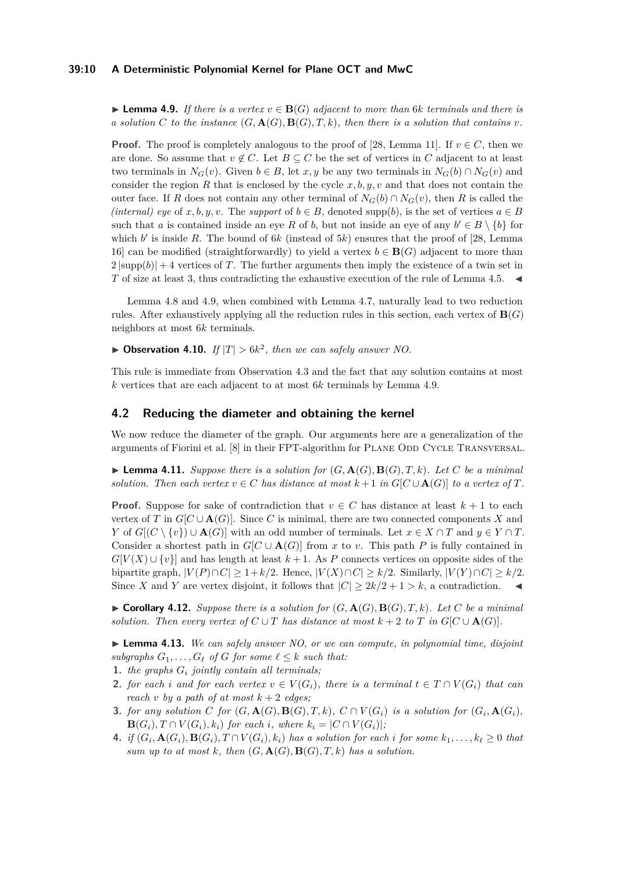#### **39:10 A Deterministic Polynomial Kernel for Plane OCT and MwC**

<span id="page-9-0"></span>**► Lemma 4.9.** *If there is a vertex*  $v \in \mathbf{B}(G)$  *adjacent to more than* 6*k terminals and there is a solution C to the instance*  $(G, \mathbf{A}(G), \mathbf{B}(G), T, k)$ *, then there is a solution that contains v*.

**Proof.** The proof is completely analogous to the proof of [\[28,](#page-17-3) Lemma 11]. If  $v \in C$ , then we are done. So assume that  $v \notin C$ . Let  $B \subseteq C$  be the set of vertices in C adjacent to at least two terminals in  $N_G(v)$ . Given  $b \in B$ , let *x*, *y* be any two terminals in  $N_G(b) \cap N_G(v)$  and consider the region *R* that is enclosed by the cycle *x, b, y, v* and that does not contain the outer face. If *R* does not contain any other terminal of  $N_G(b) \cap N_G(v)$ , then *R* is called the *(internal) eye* of *x, b, y, v.* The *support* of  $b \in B$ , denoted supp(*b*), is the set of vertices  $a \in B$ such that *a* is contained inside an eye *R* of *b*, but not inside an eye of any  $b' \in B \setminus \{b\}$  for which  $b'$  is inside R. The bound of  $6k$  (instead of  $5k$ ) ensures that the proof of [\[28,](#page-17-3) Lemma 16] can be modified (straightforwardly) to yield a vertex  $b \in \mathbf{B}(G)$  adjacent to more than  $2 |\text{supp}(b)| + 4$  vertices of *T*. The further arguments then imply the existence of a twin set in *T* of size at least 3, thus contradicting the exhaustive execution of the rule of Lemma [4.5.](#page-7-2)

Lemma [4.8](#page-8-0) and [4.9,](#page-9-0) when combined with Lemma [4.7,](#page-8-1) naturally lead to two reduction rules. After exhaustively applying all the reduction rules in this section, each vertex of  $\mathbf{B}(G)$ neighbors at most 6*k* terminals.

<span id="page-9-4"></span> $\blacktriangleright$  **Observation 4.10.** *If*  $|T| > 6k^2$ , then we can safely answer NO.

This rule is immediate from Observation [4.3](#page-7-3) and the fact that any solution contains at most *k* vertices that are each adjacent to at most 6*k* terminals by Lemma [4.9.](#page-9-0)

#### **4.2 Reducing the diameter and obtaining the kernel**

We now reduce the diameter of the graph. Our arguments here are a generalization of the arguments of Fiorini et al. [\[8\]](#page-16-11) in their FPT-algorithm for PLANE ODD CYCLE TRANSVERSAL.

 $\blacktriangleright$  **Lemma 4.11.** *Suppose there is a solution for*  $(G, \mathbf{A}(G), \mathbf{B}(G), T, k)$ *. Let C be a minimal solution. Then each vertex*  $v \in C$  *has distance at most*  $k+1$  *in*  $G[C \cup \mathbf{A}(G)]$  *to a vertex of*  $T$ *.* 

**Proof.** Suppose for sake of contradiction that  $v \in C$  has distance at least  $k + 1$  to each vertex of *T* in  $G[C \cup A(G)]$ . Since *C* is minimal, there are two connected components *X* and *Y* of  $G[(C \setminus \{v\}) \cup \mathbf{A}(G)]$  with an odd number of terminals. Let  $x \in X \cap T$  and  $y \in Y \cap T$ . Consider a shortest path in  $G[C \cup \mathbf{A}(G)]$  from *x* to *v*. This path *P* is fully contained in  $G[V(X) \cup \{v\}]$  and has length at least  $k + 1$ . As P connects vertices on opposite sides of the bipartite graph,  $|V(P) \cap C| \geq 1 + k/2$ . Hence,  $|V(X) \cap C| \geq k/2$ . Similarly,  $|V(Y) \cap C| \geq k/2$ . Since *X* and *Y* are vertex disjoint, it follows that  $|C| \geq 2k/2 + 1 > k$ , a contradiction.

<span id="page-9-1"></span> $\triangleright$  **Corollary 4.12.** *Suppose there is a solution for*  $(G, \mathbf{A}(G), \mathbf{B}(G), T, k)$ *. Let*  $C$  *be a minimal solution. Then every vertex of*  $C \cup T$  *has distance at most*  $k + 2$  *to*  $T$  *in*  $G[C \cup A(G)]$ *.* 

<span id="page-9-3"></span>I **Lemma 4.13.** *We can safely answer NO, or we can compute, in polynomial time, disjoint subgraphs*  $G_1, \ldots, G_\ell$  *of*  $G$  *for some*  $\ell \leq k$  *such that:* 

- **1.** *the graphs G<sup>i</sup> jointly contain all terminals;*
- <span id="page-9-2"></span>**2.** *for each i* and *for each vertex*  $v \in V(G_i)$ *, there is a terminal*  $t \in T \cap V(G_i)$  *that can reach v by a path of at most*  $k + 2$  *edges*;
- **3.** for any solution C for  $(G, \mathbf{A}(G), \mathbf{B}(G), T, k)$ ,  $C \cap V(G_i)$  is a solution for  $(G_i, \mathbf{A}(G_i))$ ,  $\mathbf{B}(G_i), T \cap V(G_i), k_i)$  for each *i*, where  $k_i = |C \cap V(G_i)|$ ;
- 4. if  $(G_i, \mathbf{A}(G_i), \mathbf{B}(G_i), T \cap V(G_i), k_i)$  has a solution for each i for some  $k_1, \ldots, k_\ell \geq 0$  that *sum up to at most*  $k$ *, then*  $(G, \mathbf{A}(G), \mathbf{B}(G), T, k)$  has a solution.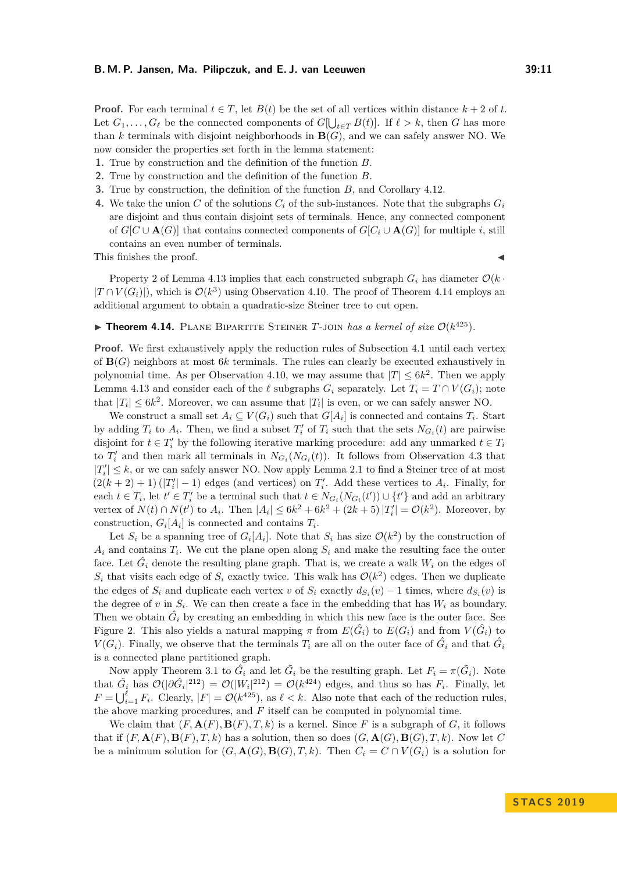**Proof.** For each terminal  $t \in T$ , let  $B(t)$  be the set of all vertices within distance  $k + 2$  of  $t$ . Let  $G_1, \ldots, G_\ell$  be the connected components of  $G[\bigcup_{t \in T} B(t)]$ . If  $\ell > k$ , then *G* has more than *k* terminals with disjoint neighborhoods in **B**(*G*), and we can safely answer NO. We now consider the properties set forth in the lemma statement:

- **1.** True by construction and the definition of the function *B*.
- **2.** True by construction and the definition of the function *B*.
- **3.** True by construction, the definition of the function *B*, and Corollary [4.12.](#page-9-1)
- **4.** We take the union C of the solutions  $C_i$  of the sub-instances. Note that the subgraphs  $G_i$ are disjoint and thus contain disjoint sets of terminals. Hence, any connected component of  $G[C \cup \mathbf{A}(G)]$  that contains connected components of  $G[C_i \cup \mathbf{A}(G)]$  for multiple *i*, still contains an even number of terminals.

This finishes the proof.  $\blacksquare$ 

Property [2](#page-9-2) of Lemma [4.13](#page-9-3) implies that each constructed subgraph  $G_i$  has diameter  $\mathcal{O}(k \cdot$  $|T \cap V(G_i)|$ , which is  $\mathcal{O}(k^3)$  using Observation [4.10.](#page-9-4) The proof of Theorem [4.14](#page-10-0) employs an additional argument to obtain a quadratic-size Steiner tree to cut open.

# <span id="page-10-0"></span>**Theorem 4.14.** PLANE BIPARTITE STEINER T-JOIN has a kernel of size  $O(k^{425})$ .

**Proof.** We first exhaustively apply the reduction rules of Subsection [4.1](#page-7-4) until each vertex of **B**(*G*) neighbors at most 6*k* terminals. The rules can clearly be executed exhaustively in polynomial time. As per Observation [4.10,](#page-9-4) we may assume that  $|T| \leq 6k^2$ . Then we apply Lemma [4.13](#page-9-3) and consider each of the  $\ell$  subgraphs  $G_i$  separately. Let  $T_i = T \cap V(G_i)$ ; note that  $|T_i| \leq 6k^2$ . Moreover, we can assume that  $|T_i|$  is even, or we can safely answer NO.

We construct a small set  $A_i \subseteq V(G_i)$  such that  $G[A_i]$  is connected and contains  $T_i$ . Start by adding  $T_i$  to  $A_i$ . Then, we find a subset  $T'_i$  of  $T_i$  such that the sets  $N_{G_i}(t)$  are pairwise disjoint for  $t \in T_i'$  by the following iterative marking procedure: add any unmarked  $t \in T_i$ to  $T'_{i}$  and then mark all terminals in  $N_{G_i}(N_{G_i}(t))$ . It follows from Observation [4.3](#page-7-3) that  $|T'_i| \leq k$ , or we can safely answer NO. Now apply Lemma [2.1](#page-4-1) to find a Steiner tree of at most  $(2(k+2)+1)(|T'_i|-1)$  edges (and vertices) on  $T'_i$ . Add these vertices to  $A_i$ . Finally, for each  $t \in T_i$ , let  $t' \in T'_i$  be a terminal such that  $t \in N_{G_i}(N_{G_i}(t')) \cup \{t'\}$  and add an arbitrary vertex of  $N(t) \cap N(t')$  to  $A_i$ . Then  $|A_i| \leq 6k^2 + 6k^2 + (2k+5) |T'_i| = \mathcal{O}(k^2)$ . Moreover, by construction,  $G_i[A_i]$  is connected and contains  $T_i$ .

Let  $S_i$  be a spanning tree of  $G_i[A_i]$ . Note that  $S_i$  has size  $\mathcal{O}(k^2)$  by the construction of  $A_i$  and contains  $T_i$ . We cut the plane open along  $S_i$  and make the resulting face the outer face. Let  $\hat{G}_i$  denote the resulting plane graph. That is, we create a walk  $W_i$  on the edges of  $S_i$  that visits each edge of  $S_i$  exactly twice. This walk has  $\mathcal{O}(k^2)$  edges. Then we duplicate the edges of  $S_i$  and duplicate each vertex *v* of  $S_i$  exactly  $d_{S_i}(v) - 1$  times, where  $d_{S_i}(v)$  is the degree of  $v$  in  $S_i$ . We can then create a face in the embedding that has  $W_i$  as boundary. Then we obtain  $\hat{G}_i$  by creating an embedding in which this new face is the outer face. See Figure [2.](#page-11-1) This also yields a natural mapping  $\pi$  from  $E(\hat{G}_i)$  to  $E(G_i)$  and from  $V(\hat{G}_i)$  to *V*( $G_i$ ). Finally, we observe that the terminals  $T_i$  are all on the outer face of  $\hat{G}_i$  and that  $\hat{G}_i$ is a connected plane partitioned graph.

Now apply Theorem [3.1](#page-5-0) to  $\hat{G}_i$  and let  $\tilde{G}_i$  be the resulting graph. Let  $F_i = \pi(\tilde{G}_i)$ . Note that  $\tilde{G}_i$  has  $\mathcal{O}(|\partial \hat{G}_i|^{212}) = \mathcal{O}(|W_i|^{212}) = \mathcal{O}(k^{424})$  edges, and thus so has  $F_i$ . Finally, let  $F = \bigcup_{i=1}^{\ell} F_i$ . Clearly,  $|F| = \mathcal{O}(k^{425})$ , as  $\ell < k$ . Also note that each of the reduction rules, the above marking procedures, and *F* itself can be computed in polynomial time.

We claim that  $(F, \mathbf{A}(F), \mathbf{B}(F), T, k)$  is a kernel. Since F is a subgraph of G, it follows that if  $(F, \mathbf{A}(F), \mathbf{B}(F), T, k)$  has a solution, then so does  $(G, \mathbf{A}(G), \mathbf{B}(G), T, k)$ . Now let C be a minimum solution for  $(G, \mathbf{A}(G), \mathbf{B}(G), T, k)$ . Then  $C_i = C \cap V(G_i)$  is a solution for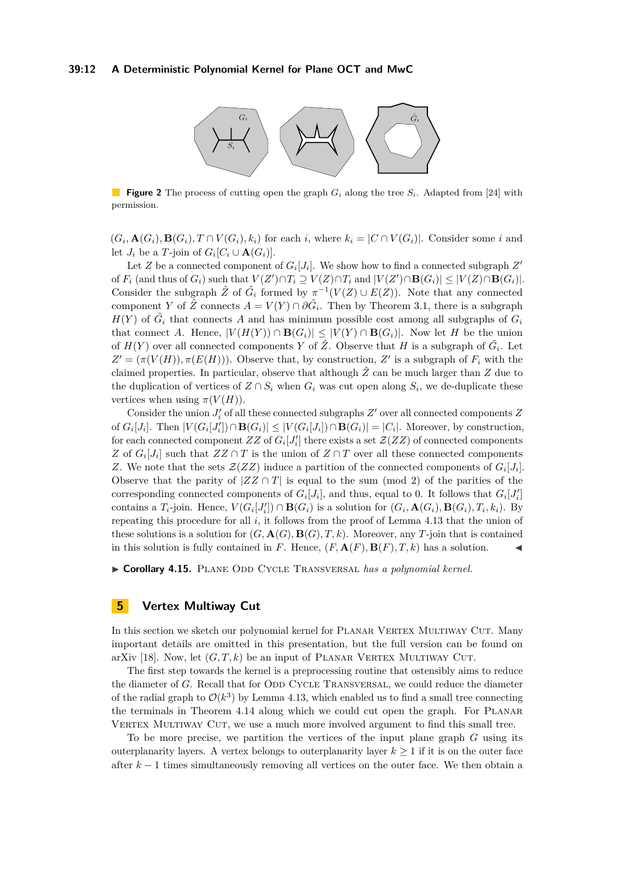<span id="page-11-1"></span>

**Figure 2** The process of cutting open the graph  $G_i$  along the tree  $S_i$ . Adapted from [\[24\]](#page-16-16) with permission.

 $(G_i, \mathbf{A}(G_i), \mathbf{B}(G_i), T \cap V(G_i), k_i)$  for each i, where  $k_i = |C \cap V(G_i)|$ . Consider some i and let  $J_i$  be a *T*-join of  $G_i[C_i \cup \mathbf{A}(G_i)]$ .

Let *Z* be a connected component of  $G_i[J_i]$ . We show how to find a connected subgraph  $Z'$ of  $F_i$  (and thus of  $G_i$ ) such that  $V(Z') \cap T_i \supseteq V(Z) \cap T_i$  and  $|V(Z') \cap B(G_i)| \leq |V(Z) \cap B(G_i)|$ . Consider the subgraph  $\hat{Z}$  of  $\hat{G}_i$  formed by  $\pi^{-1}(V(Z) \cup E(Z))$ . Note that any connected component *Y* of  $\hat{Z}$  connects  $A = V(Y) \cap \partial \hat{G}_i$ . Then by Theorem [3.1,](#page-5-0) there is a subgraph  $H(Y)$  of  $\tilde{G}_i$  that connects *A* and has minimum possible cost among all subgraphs of  $G_i$ that connect *A*. Hence,  $|V(H(Y)) \cap B(G_i)| \leq |V(Y) \cap B(G_i)|$ . Now let *H* be the union of  $H(Y)$  over all connected components *Y* of  $\hat{Z}$ . Observe that *H* is a subgraph of  $\tilde{G}_i$ . Let  $Z' = (\pi(V(H)), \pi(E(H)))$ . Observe that, by construction, *Z*' is a subgraph of  $F_i$  with the claimed properties. In particular, observe that although  $\hat{Z}$  can be much larger than  $Z$  due to the duplication of vertices of  $Z \cap S_i$  when  $G_i$  was cut open along  $S_i$ , we de-duplicate these vertices when using  $\pi(V(H))$ .

Consider the union  $J_i'$  of all these connected subgraphs  $Z'$  over all connected components  $Z$ of  $G_i[J_i]$ . Then  $|V(G_i[J_i']) \cap \mathbf{B}(G_i)| \leq |V(G_i[J_i]) \cap \mathbf{B}(G_i)| = |C_i|$ . Moreover, by construction, for each connected component  $ZZ$  of  $G_i[J_i']$  there exists a set  $\mathcal{Z}(ZZ)$  of connected components *Z* of  $G_i[J_i]$  such that  $ZZ \cap T$  is the union of  $Z \cap T$  over all these connected components *Z*. We note that the sets  $\mathcal{Z}(ZZ)$  induce a partition of the connected components of  $G_i[J_i]$ . Observe that the parity of  $|ZZ \cap T|$  is equal to the sum (mod 2) of the parities of the corresponding connected components of  $G_i[J_i]$ , and thus, equal to 0. It follows that  $G_i[J_i']$ contains a  $T_i$ -join. Hence,  $V(G_i[J_i']) \cap \mathbf{B}(G_i)$  is a solution for  $(G_i, \mathbf{A}(G_i), \mathbf{B}(G_i), T_i, k_i)$ . By repeating this procedure for all *i*, it follows from the proof of Lemma [4.13](#page-9-3) that the union of these solutions is a solution for  $(G, \mathbf{A}(G), \mathbf{B}(G), T, k)$ . Moreover, any *T*-join that is contained in this solution is fully contained in *F*. Hence,  $(F, \mathbf{A}(F), \mathbf{B}(F), T, k)$  has a solution.

I **Corollary 4.15.** Plane Odd Cycle Transversal *has a polynomial kernel.*

# <span id="page-11-0"></span>**5 Vertex Multiway Cut**

In this section we sketch our polynomial kernel for PLANAR VERTEX MULTIWAY CUT. Many important details are omitted in this presentation, but the full version can be found on arXiv [\[18\]](#page-16-0). Now, let  $(G, T, k)$  be an input of PLANAR VERTEX MULTIWAY CUT.

The first step towards the kernel is a preprocessing routine that ostensibly aims to reduce the diameter of *G*. Recall that for ODD CYCLE TRANSVERSAL, we could reduce the diameter of the radial graph to  $\mathcal{O}(k^3)$  by Lemma [4.13,](#page-9-3) which enabled us to find a small tree connecting the terminals in Theorem [4.14](#page-10-0) along which we could cut open the graph. For Planar VERTEX MULTIWAY CUT, we use a much more involved argument to find this small tree.

To be more precise, we partition the vertices of the input plane graph *G* using its outerplanarity layers. A vertex belongs to outerplanarity layer  $k \geq 1$  if it is on the outer face after *k* − 1 times simultaneously removing all vertices on the outer face. We then obtain a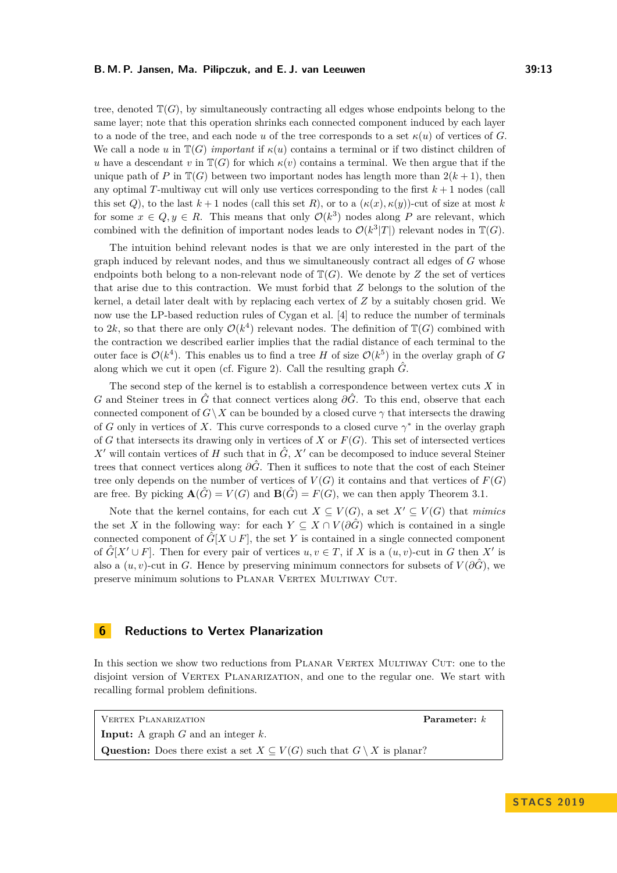tree, denoted  $\mathbb{T}(G)$ , by simultaneously contracting all edges whose endpoints belong to the same layer; note that this operation shrinks each connected component induced by each layer to a node of the tree, and each node *u* of the tree corresponds to a set  $\kappa(u)$  of vertices of *G*. We call a node *u* in  $\mathbb{T}(G)$  *important* if  $\kappa(u)$  contains a terminal or if two distinct children of *u* have a descendant *v* in  $\mathbb{T}(G)$  for which  $\kappa(v)$  contains a terminal. We then argue that if the unique path of *P* in  $\mathbb{T}(G)$  between two important nodes has length more than  $2(k+1)$ , then any optimal *T*-multiway cut will only use vertices corresponding to the first  $k + 1$  nodes (call this set *Q*), to the last  $k+1$  nodes (call this set *R*), or to a  $(\kappa(x), \kappa(y))$ -cut of size at most *k* for some  $x \in Q, y \in R$ . This means that only  $\mathcal{O}(k^3)$  nodes along P are relevant, which combined with the definition of important nodes leads to  $\mathcal{O}(k^3|T|)$  relevant nodes in  $\mathbb{T}(G)$ .

The intuition behind relevant nodes is that we are only interested in the part of the graph induced by relevant nodes, and thus we simultaneously contract all edges of *G* whose endpoints both belong to a non-relevant node of  $\mathbb{T}(G)$ . We denote by *Z* the set of vertices that arise due to this contraction. We must forbid that *Z* belongs to the solution of the kernel, a detail later dealt with by replacing each vertex of *Z* by a suitably chosen grid. We now use the LP-based reduction rules of Cygan et al. [\[4\]](#page-15-5) to reduce the number of terminals to 2k, so that there are only  $\mathcal{O}(k^4)$  relevant nodes. The definition of  $\mathbb{T}(G)$  combined with the contraction we described earlier implies that the radial distance of each terminal to the outer face is  $\mathcal{O}(k^4)$ . This enables us to find a tree *H* of size  $\mathcal{O}(k^5)$  in the overlay graph of *G* along which we cut it open (cf. Figure [2\)](#page-11-1). Call the resulting graph  $\hat{G}$ .

The second step of the kernel is to establish a correspondence between vertex cuts *X* in *G* and Steiner trees in  $\hat{G}$  that connect vertices along  $\partial \hat{G}$ . To this end, observe that each connected component of  $G\setminus X$  can be bounded by a closed curve  $\gamma$  that intersects the drawing of *G* only in vertices of *X*. This curve corresponds to a closed curve  $\gamma^*$  in the overlay graph of *G* that intersects its drawing only in vertices of *X* or  $F(G)$ . This set of intersected vertices *X*<sup> $\prime$ </sup> will contain vertices of *H* such that in  $\hat{G}$ , *X*<sup> $\prime$ </sup> can be decomposed to induce several Steiner trees that connect vertices along *∂G*ˆ. Then it suffices to note that the cost of each Steiner tree only depends on the number of vertices of  $V(G)$  it contains and that vertices of  $F(G)$ are free. By picking  $\mathbf{A}(\hat{G}) = V(G)$  and  $\mathbf{B}(\hat{G}) = F(G)$ , we can then apply Theorem [3.1.](#page-5-0)

Note that the kernel contains, for each cut  $X \subseteq V(G)$ , a set  $X' \subseteq V(G)$  that *mimics* the set *X* in the following way: for each  $Y \subseteq X \cap V(\partial \hat{G})$  which is contained in a single connected component of  $\hat{G}[X \cup F]$ , the set Y is contained in a single connected component of  $\hat{G}[X' \cup F]$ . Then for every pair of vertices  $u, v \in T$ , if X is a  $(u, v)$ -cut in G then X' is also a  $(u, v)$ -cut in *G*. Hence by preserving minimum connectors for subsets of  $V(\partial \hat{G})$ , we preserve minimum solutions to PLANAR VERTEX MULTIWAY CUT.

# <span id="page-12-0"></span>**6 Reductions to Vertex Planarization**

In this section we show two reductions from PLANAR VERTEX MULTIWAY CUT: one to the disjoint version of VERTEX PLANARIZATION, and one to the regular one. We start with recalling formal problem definitions.

VERTEX PLANARIZATION **Parameter:** *k* **Input:** A graph *G* and an integer *k*. Question: Does there exist a set  $X \subseteq V(G)$  such that  $G \setminus X$  is planar?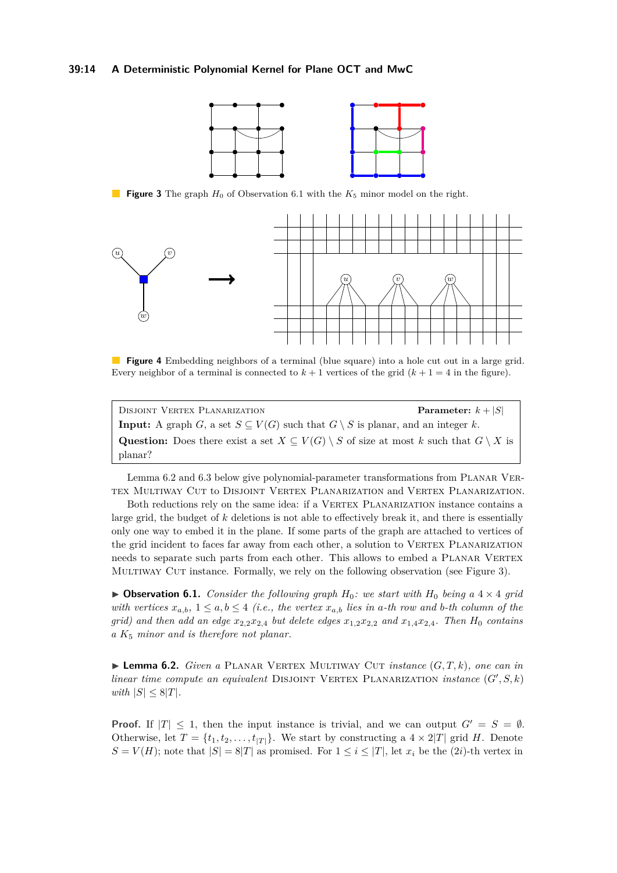#### <span id="page-13-2"></span>**39:14 A Deterministic Polynomial Kernel for Plane OCT and MwC**



**Figure 3** The graph  $H_0$  of Observation [6.1](#page-13-0) with the  $K_5$  minor model on the right.

<span id="page-13-3"></span>

**Figure 4** Embedding neighbors of a terminal (blue square) into a hole cut out in a large grid. Every neighbor of a terminal is connected to  $k + 1$  vertices of the grid  $(k + 1 = 4$  in the figure).

| DISJOINT VERTEX PLANARIZATION                                                                                         | <b>Parameter:</b> $k +  S $ |
|-----------------------------------------------------------------------------------------------------------------------|-----------------------------|
| <b>Input:</b> A graph G, a set $S \subseteq V(G)$ such that $G \setminus S$ is planar, and an integer k.              |                             |
| <b>Question:</b> Does there exist a set $X \subseteq V(G) \setminus S$ of size at most k such that $G \setminus X$ is |                             |
| planar?                                                                                                               |                             |

Lemma [6.2](#page-13-1) and [6.3](#page-14-0) below give polynomial-parameter transformations from PLANAR VERtex Multiway Cut to Disjoint Vertex Planarization and Vertex Planarization.

Both reductions rely on the same idea: if a VERTEX PLANARIZATION instance contains a large grid, the budget of *k* deletions is not able to effectively break it, and there is essentially only one way to embed it in the plane. If some parts of the graph are attached to vertices of the grid incident to faces far away from each other, a solution to VERTEX PLANARIZATION needs to separate such parts from each other. This allows to embed a PLANAR VERTEX Multiway Cut instance. Formally, we rely on the following observation (see Figure [3\)](#page-13-2).

<span id="page-13-0"></span> $\triangleright$  **Observation 6.1.** *Consider the following graph*  $H_0$ *: we start with*  $H_0$  *being a* 4  $\times$  4 *grid with vertices*  $x_{a,b}$ ,  $1 \leq a,b \leq 4$  *(i.e., the vertex*  $x_{a,b}$  *lies in a-th row and b-th column of the grid)* and then add an edge  $x_{2,2}x_{2,4}$  but delete edges  $x_{1,2}x_{2,2}$  and  $x_{1,4}x_{2,4}$ . Then  $H_0$  contains *a K*<sup>5</sup> *minor and is therefore not planar.*

<span id="page-13-1"></span> $\blacktriangleright$  **Lemma 6.2.** *Given a* PLANAR VERTEX MULTIWAY CUT *instance*  $(G, T, k)$ *, one can in linear time compute an equivalent* DISJOINT VERTEX PLANARIZATION *instance*  $(G', S, k)$ *with*  $|S| \leq 8|T|$ *.* 

**Proof.** If  $|T| \leq 1$ , then the input instance is trivial, and we can output  $G' = S = \emptyset$ . Otherwise, let  $T = \{t_1, t_2, \ldots, t_{|T|}\}$ . We start by constructing a  $4 \times 2|T|$  grid *H*. Denote  $S = V(H)$ ; note that  $|S| = 8|T|$  as promised. For  $1 \leq i \leq |T|$ , let  $x_i$  be the (2*i*)-th vertex in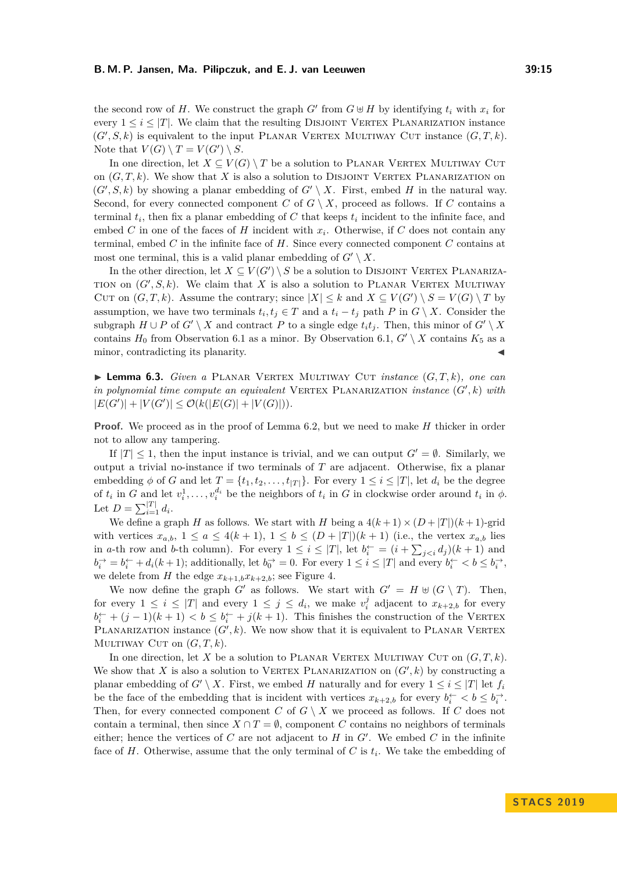the second row of *H*. We construct the graph  $G'$  from  $G \oplus H$  by identifying  $t_i$  with  $x_i$  for every  $1 \leq i \leq |T|$ . We claim that the resulting DISJOINT VERTEX PLANARIZATION instance  $(G', S, k)$  is equivalent to the input PLANAR VERTEX MULTIWAY CUT instance  $(G, T, k)$ . Note that  $V(G) \setminus T = V(G') \setminus S$ .

In one direction, let  $X \subseteq V(G) \setminus T$  be a solution to PLANAR VERTEX MULTIWAY CUT on  $(G, T, k)$ . We show that X is also a solution to DISJOINT VERTEX PLANARIZATION on  $(G', S, k)$  by showing a planar embedding of  $G' \setminus X$ . First, embed *H* in the natural way. Second, for every connected component *C* of  $G \setminus X$ , proceed as follows. If *C* contains a terminal  $t_i$ , then fix a planar embedding of  $C$  that keeps  $t_i$  incident to the infinite face, and embed *C* in one of the faces of *H* incident with *x<sup>i</sup>* . Otherwise, if *C* does not contain any terminal, embed *C* in the infinite face of *H*. Since every connected component *C* contains at most one terminal, this is a valid planar embedding of  $G' \setminus X$ .

In the other direction, let  $X \subseteq V(G') \setminus S$  be a solution to DISJOINT VERTEX PLANARIZA-TION on  $(G', S, k)$ . We claim that X is also a solution to PLANAR VERTEX MULTIWAY CUT on  $(G, T, k)$ . Assume the contrary; since  $|X| \leq k$  and  $X \subseteq V(G') \setminus S = V(G) \setminus T$  by assumption, we have two terminals  $t_i, t_j \in T$  and a  $t_i - t_j$  path *P* in  $G \setminus X$ . Consider the subgraph  $H \cup P$  of  $G' \setminus X$  and contract  $P$  to a single edge  $t_i t_j$ . Then, this minor of  $G' \setminus X$ contains  $H_0$  from Observation [6.1](#page-13-0) as a minor. By Observation [6.1,](#page-13-0)  $G' \setminus X$  contains  $K_5$  as a minor, contradicting its planarity.

<span id="page-14-0"></span> $\blacktriangleright$  **Lemma 6.3.** *Given a* PLANAR VERTEX MULTIWAY CUT *instance*  $(G, T, k)$ *, one can in polynomial time compute an equivalent* VERTEX PLANARIZATION *instance*  $(G', k)$  *with*  $|E(G')| + |V(G')| \leq \mathcal{O}(k(|E(G)| + |V(G)|)).$ 

**Proof.** We proceed as in the proof of Lemma [6.2,](#page-13-1) but we need to make *H* thicker in order not to allow any tampering.

If  $|T| \leq 1$ , then the input instance is trivial, and we can output  $G' = \emptyset$ . Similarly, we output a trivial no-instance if two terminals of *T* are adjacent. Otherwise, fix a planar embedding  $\phi$  of *G* and let  $T = \{t_1, t_2, \ldots, t_{|T|}\}$ . For every  $1 \leq i \leq |T|$ , let  $d_i$  be the degree of  $t_i$  in *G* and let  $v_i^1, \ldots, v_i^{d_i}$  be the neighbors of  $t_i$  in *G* in clockwise order around  $t_i$  in  $\phi$ . Let  $D = \sum_{i=1}^{|T|} d_i$ .

We define a graph *H* as follows. We start with *H* being a  $4(k+1) \times (D+|T|)(k+1)$ -grid with vertices  $x_{a,b}$ ,  $1 \le a \le 4(k+1)$ ,  $1 \le b \le (D+|T|)(k+1)$  (i.e., the vertex  $x_{a,b}$  lies in *a*-th row and *b*-th column). For every  $1 \leq i \leq |T|$ , let  $b_i^{\leftarrow} = (i + \sum_{j < i} d_j)(k + 1)$  and  $b_i^{\rightarrow} = b_i^{\leftarrow} + d_i(k+1)$ ; additionally, let  $b_0^{\rightarrow} = 0$ . For every  $1 \leq i \leq |T|$  and every  $b_i^{\leftarrow} < b \leq b_i^{\rightarrow}$ , we delete from *H* the edge  $x_{k+1,b}x_{k+2,b}$ ; see Figure [4.](#page-13-3)

We now define the graph *G'* as follows. We start with  $G' = H \oplus (G \setminus T)$ . Then, for every  $1 \leq i \leq |T|$  and every  $1 \leq j \leq d_i$ , we make  $v_i^j$  adjacent to  $x_{k+2,b}$  for every  $b_i^{\leftarrow} + (j-1)(k+1) < b \leq b_i^{\leftarrow} + j(k+1)$ . This finishes the construction of the VERTEX PLANARIZATION instance  $(G', k)$ . We now show that it is equivalent to PLANAR VERTEX MULTIWAY CUT on  $(G, T, k)$ .

In one direction, let X be a solution to PLANAR VERTEX MULTIWAY CUT on  $(G, T, k)$ . We show that *X* is also a solution to VERTEX PLANARIZATION on  $(G', k)$  by constructing a planar embedding of *G*<sup> $\prime$ </sup> \ *X*. First, we embed *H* naturally and for every  $1 \leq i \leq |T|$  let  $f_i$ be the face of the embedding that is incident with vertices  $x_{k+2,b}$  for every  $b_i^{\leftarrow} < b \leq b_i^{\rightarrow}$ . Then, for every connected component *C* of  $G \setminus X$  we proceed as follows. If *C* does not contain a terminal, then since  $X \cap T = \emptyset$ , component *C* contains no neighbors of terminals either; hence the vertices of  $C$  are not adjacent to  $H$  in  $G'$ . We embed  $C$  in the infinite face of  $H$ . Otherwise, assume that the only terminal of  $C$  is  $t_i$ . We take the embedding of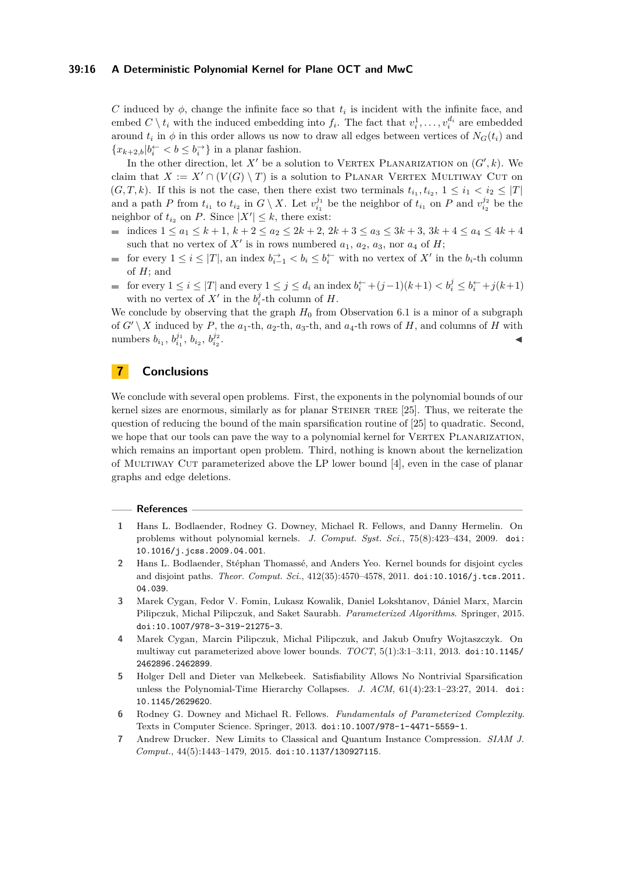#### **39:16 A Deterministic Polynomial Kernel for Plane OCT and MwC**

*C* induced by  $\phi$ , change the infinite face so that  $t_i$  is incident with the infinite face, and embed  $C \setminus t_i$  with the induced embedding into  $f_i$ . The fact that  $v_i^1, \ldots, v_i^{d_i}$  are embedded around  $t_i$  in  $\phi$  in this order allows us now to draw all edges between vertices of  $N_G(t_i)$  and  ${x_{k+2,b} | b_i \text{~} < b \le b_i \text{~}}$  in a planar fashion.

In the other direction, let  $X'$  be a solution to VERTEX PLANARIZATION on  $(G', k)$ . We claim that  $X := X' \cap (V(G) \setminus T)$  is a solution to PLANAR VERTEX MULTIWAY CUT on (*G,T,k*). If this is not the case, then there exist two terminals  $t_{i_1}, t_{i_2}, 1 \leq i_1 < i_2 \leq |T|$ and a path *P* from  $t_{i_1}$  to  $t_{i_2}$  in  $G \setminus X$ . Let  $v_{i_1}^{j_1}$  be the neighbor of  $t_{i_1}$  on *P* and  $v_{i_2}^{j_2}$  be the neighbor of  $t_{i_2}$  on *P*. Since  $|X'| \leq k$ , there exist:

- indices 1 ≤ *a*<sup>1</sup> ≤ *k* + 1, *k* + 2 ≤ *a*<sup>2</sup> ≤ 2*k* + 2, 2*k* + 3 ≤ *a*<sup>3</sup> ≤ 3*k* + 3, 3*k* + 4 ≤ *a*<sup>4</sup> ≤ 4*k* + 4  $\bar{a}$ such that no vertex of  $X'$  is in rows numbered  $a_1, a_2, a_3$ , nor  $a_4$  of  $H$ ;
- for every  $1 \leq i \leq |T|$ , an index  $b_{i-1}^{\rightarrow} < b_i \leq b_i^{\leftarrow}$  with no vertex of  $X'$  in the  $b_i$ -th column  $\overline{\phantom{a}}$ of *H*; and
- for every  $1 \leq i \leq |T|$  and every  $1 \leq j \leq d_i$  an index  $b_i^{\leftarrow} + (j-1)(k+1) < b_i^j \leq b_i^{\leftarrow} + j(k+1)$ with no vertex of  $X'$  in the  $b_i^j$ -th column of  $H$ .

We conclude by observing that the graph  $H_0$  from Observation [6.1](#page-13-0) is a minor of a subgraph of  $G' \setminus X$  induced by  $P$ , the  $a_1$ -th,  $a_2$ -th,  $a_3$ -th, and  $a_4$ -th rows of  $H$ , and columns of  $H$  with numbers  $b_{i_1}$ ,  $b_{i_1}^{j_1}$ ,  $b_{i_2}$ ,  $b_{i_2}^{j_2}$ . J

# **7 Conclusions**

We conclude with several open problems. First, the exponents in the polynomial bounds of our kernel sizes are enormous, similarly as for planar STEINER TREE [\[25\]](#page-17-2). Thus, we reiterate the question of reducing the bound of the main sparsification routine of [\[25\]](#page-17-2) to quadratic. Second, we hope that our tools can pave the way to a polynomial kernel for VERTEX PLANARIZATION, which remains an important open problem. Third, nothing is known about the kernelization of Multiway Cut parameterized above the LP lower bound [\[4\]](#page-15-5), even in the case of planar graphs and edge deletions.

#### **References**

- <span id="page-15-0"></span>**1** Hans L. Bodlaender, Rodney G. Downey, Michael R. Fellows, and Danny Hermelin. On problems without polynomial kernels. *J. Comput. Syst. Sci.*, 75(8):423–434, 2009. [doi:](http://dx.doi.org/10.1016/j.jcss.2009.04.001) [10.1016/j.jcss.2009.04.001](http://dx.doi.org/10.1016/j.jcss.2009.04.001).
- <span id="page-15-6"></span>**2** Hans L. Bodlaender, Stéphan Thomassé, and Anders Yeo. Kernel bounds for disjoint cycles and disjoint paths. *Theor. Comput. Sci.*, 412(35):4570–4578, 2011. [doi:10.1016/j.tcs.2011.](http://dx.doi.org/10.1016/j.tcs.2011.04.039) [04.039](http://dx.doi.org/10.1016/j.tcs.2011.04.039).
- <span id="page-15-3"></span>**3** Marek Cygan, Fedor V. Fomin, Lukasz Kowalik, Daniel Lokshtanov, Dániel Marx, Marcin Pilipczuk, Michal Pilipczuk, and Saket Saurabh. *Parameterized Algorithms*. Springer, 2015. [doi:10.1007/978-3-319-21275-3](http://dx.doi.org/10.1007/978-3-319-21275-3).
- <span id="page-15-5"></span>**4** Marek Cygan, Marcin Pilipczuk, Michal Pilipczuk, and Jakub Onufry Wojtaszczyk. On multiway cut parameterized above lower bounds. *TOCT*, 5(1):3:1–3:11, 2013. [doi:10.1145/](http://dx.doi.org/10.1145/2462896.2462899) [2462896.2462899](http://dx.doi.org/10.1145/2462896.2462899).
- <span id="page-15-1"></span>**5** Holger Dell and Dieter van Melkebeek. Satisfiability Allows No Nontrivial Sparsification unless the Polynomial-Time Hierarchy Collapses. *J. ACM*, 61(4):23:1–23:27, 2014. [doi:](http://dx.doi.org/10.1145/2629620) [10.1145/2629620](http://dx.doi.org/10.1145/2629620).
- <span id="page-15-4"></span>**6** Rodney G. Downey and Michael R. Fellows. *Fundamentals of Parameterized Complexity*. Texts in Computer Science. Springer, 2013. [doi:10.1007/978-1-4471-5559-1](http://dx.doi.org/10.1007/978-1-4471-5559-1).
- <span id="page-15-2"></span>**7** Andrew Drucker. New Limits to Classical and Quantum Instance Compression. *SIAM J. Comput.*, 44(5):1443–1479, 2015. [doi:10.1137/130927115](http://dx.doi.org/10.1137/130927115).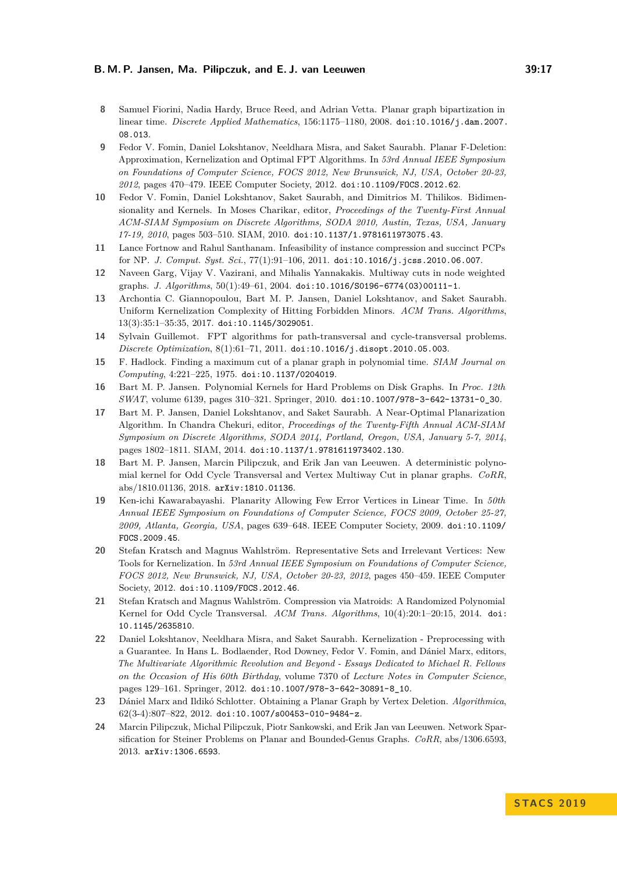#### **B. M. P. Jansen, Ma. Pilipczuk, and E. J. van Leeuwen 39:17**

- <span id="page-16-11"></span>**8** Samuel Fiorini, Nadia Hardy, Bruce Reed, and Adrian Vetta. Planar graph bipartization in linear time. *Discrete Applied Mathematics*, 156:1175–1180, 2008. [doi:10.1016/j.dam.2007.](http://dx.doi.org/10.1016/j.dam.2007.08.013) [08.013](http://dx.doi.org/10.1016/j.dam.2007.08.013).
- <span id="page-16-9"></span>**9** Fedor V. Fomin, Daniel Lokshtanov, Neeldhara Misra, and Saket Saurabh. Planar F-Deletion: Approximation, Kernelization and Optimal FPT Algorithms. In *53rd Annual IEEE Symposium on Foundations of Computer Science, FOCS 2012, New Brunswick, NJ, USA, October 20-23, 2012*, pages 470–479. IEEE Computer Society, 2012. [doi:10.1109/FOCS.2012.62](http://dx.doi.org/10.1109/FOCS.2012.62).
- <span id="page-16-1"></span>**10** Fedor V. Fomin, Daniel Lokshtanov, Saket Saurabh, and Dimitrios M. Thilikos. Bidimensionality and Kernels. In Moses Charikar, editor, *Proceedings of the Twenty-First Annual ACM-SIAM Symposium on Discrete Algorithms, SODA 2010, Austin, Texas, USA, January 17-19, 2010*, pages 503–510. SIAM, 2010. [doi:10.1137/1.9781611973075.43](http://dx.doi.org/10.1137/1.9781611973075.43).
- <span id="page-16-3"></span>**11** Lance Fortnow and Rahul Santhanam. Infeasibility of instance compression and succinct PCPs for NP. *J. Comput. Syst. Sci.*, 77(1):91–106, 2011. [doi:10.1016/j.jcss.2010.06.007](http://dx.doi.org/10.1016/j.jcss.2010.06.007).
- <span id="page-16-12"></span>**12** Naveen Garg, Vijay V. Vazirani, and Mihalis Yannakakis. Multiway cuts in node weighted graphs. *J. Algorithms*, 50(1):49–61, 2004. [doi:10.1016/S0196-6774\(03\)00111-1](http://dx.doi.org/10.1016/S0196-6774(03)00111-1).
- <span id="page-16-10"></span>**13** Archontia C. Giannopoulou, Bart M. P. Jansen, Daniel Lokshtanov, and Saket Saurabh. Uniform Kernelization Complexity of Hitting Forbidden Minors. *ACM Trans. Algorithms*, 13(3):35:1–35:35, 2017. [doi:10.1145/3029051](http://dx.doi.org/10.1145/3029051).
- <span id="page-16-13"></span>**14** Sylvain Guillemot. FPT algorithms for path-transversal and cycle-transversal problems. *Discrete Optimization*, 8(1):61–71, 2011. [doi:10.1016/j.disopt.2010.05.003](http://dx.doi.org/10.1016/j.disopt.2010.05.003).
- <span id="page-16-15"></span>**15** F. Hadlock. Finding a maximum cut of a planar graph in polynomial time. *SIAM Journal on Computing*, 4:221–225, 1975. [doi:10.1137/0204019](http://dx.doi.org/10.1137/0204019).
- <span id="page-16-14"></span>**16** Bart M. P. Jansen. Polynomial Kernels for Hard Problems on Disk Graphs. In *Proc. 12th SWAT*, volume 6139, pages 310–321. Springer, 2010. [doi:10.1007/978-3-642-13731-0\\_30](http://dx.doi.org/10.1007/978-3-642-13731-0_30).
- <span id="page-16-6"></span>**17** Bart M. P. Jansen, Daniel Lokshtanov, and Saket Saurabh. A Near-Optimal Planarization Algorithm. In Chandra Chekuri, editor, *Proceedings of the Twenty-Fifth Annual ACM-SIAM Symposium on Discrete Algorithms, SODA 2014, Portland, Oregon, USA, January 5-7, 2014*, pages 1802–1811. SIAM, 2014. [doi:10.1137/1.9781611973402.130](http://dx.doi.org/10.1137/1.9781611973402.130).
- <span id="page-16-0"></span>**18** Bart M. P. Jansen, Marcin Pilipczuk, and Erik Jan van Leeuwen. A deterministic polynomial kernel for Odd Cycle Transversal and Vertex Multiway Cut in planar graphs. *CoRR*, abs/1810.01136, 2018. [arXiv:1810.01136](http://arxiv.org/abs/1810.01136).
- <span id="page-16-7"></span>**19** Ken-ichi Kawarabayashi. Planarity Allowing Few Error Vertices in Linear Time. In *50th Annual IEEE Symposium on Foundations of Computer Science, FOCS 2009, October 25-27, 2009, Atlanta, Georgia, USA*, pages 639–648. IEEE Computer Society, 2009. [doi:10.1109/](http://dx.doi.org/10.1109/FOCS.2009.45) [FOCS.2009.45](http://dx.doi.org/10.1109/FOCS.2009.45).
- <span id="page-16-2"></span>**20** Stefan Kratsch and Magnus Wahlström. Representative Sets and Irrelevant Vertices: New Tools for Kernelization. In *53rd Annual IEEE Symposium on Foundations of Computer Science, FOCS 2012, New Brunswick, NJ, USA, October 20-23, 2012*, pages 450–459. IEEE Computer Society, 2012. [doi:10.1109/FOCS.2012.46](http://dx.doi.org/10.1109/FOCS.2012.46).
- <span id="page-16-5"></span>**21** Stefan Kratsch and Magnus Wahlström. Compression via Matroids: A Randomized Polynomial Kernel for Odd Cycle Transversal. *ACM Trans. Algorithms*, 10(4):20:1–20:15, 2014. [doi:](http://dx.doi.org/10.1145/2635810) [10.1145/2635810](http://dx.doi.org/10.1145/2635810).
- <span id="page-16-4"></span>**22** Daniel Lokshtanov, Neeldhara Misra, and Saket Saurabh. Kernelization - Preprocessing with a Guarantee. In Hans L. Bodlaender, Rod Downey, Fedor V. Fomin, and Dániel Marx, editors, *The Multivariate Algorithmic Revolution and Beyond - Essays Dedicated to Michael R. Fellows on the Occasion of His 60th Birthday*, volume 7370 of *Lecture Notes in Computer Science*, pages 129–161. Springer, 2012. [doi:10.1007/978-3-642-30891-8\\_10](http://dx.doi.org/10.1007/978-3-642-30891-8_10).
- <span id="page-16-8"></span>**23** Dániel Marx and Ildikó Schlotter. Obtaining a Planar Graph by Vertex Deletion. *Algorithmica*, 62(3-4):807–822, 2012. [doi:10.1007/s00453-010-9484-z](http://dx.doi.org/10.1007/s00453-010-9484-z).
- <span id="page-16-16"></span>**24** Marcin Pilipczuk, Michal Pilipczuk, Piotr Sankowski, and Erik Jan van Leeuwen. Network Sparsification for Steiner Problems on Planar and Bounded-Genus Graphs. *CoRR*, abs/1306.6593, 2013. [arXiv:1306.6593](http://arxiv.org/abs/1306.6593).